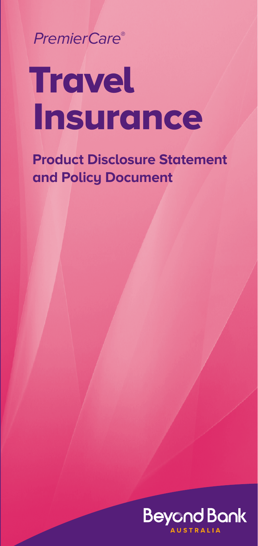PremierCare®

# **Travel Insurance**

**Product Disclosure Statement and Policy Document**

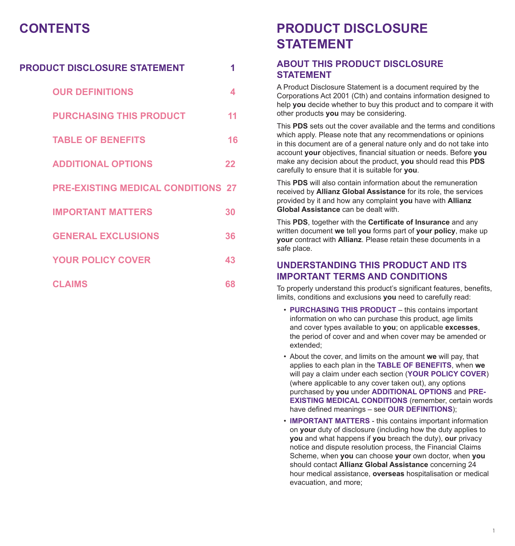# **CONTENTS**

| PRODUCT DISCLOSURE STATEMENT              | 1  |
|-------------------------------------------|----|
| <b>OUR DEFINITIONS</b>                    | 4  |
| <b>PURCHASING THIS PRODUCT</b>            | 11 |
| <b>TABLE OF BENEFITS</b>                  | 16 |
| <b>ADDITIONAL OPTIONS</b>                 | 22 |
| <b>PRE-EXISTING MEDICAL CONDITIONS 27</b> |    |
| <b>IMPORTANT MATTERS</b>                  | 30 |
| <b>GENERAL EXCLUSIONS</b>                 | 36 |
| <b>YOUR POLICY COVER</b>                  | 43 |
| <b>CLAIMS</b>                             | 68 |

# **PRODUCT DISCLOSURE STATEMENT**

# **ABOUT THIS PRODUCT DISCLOSURE STATEMENT**

A Product Disclosure Statement is a document required by the Corporations Act 2001 (Cth) and contains information designed to help **you** decide whether to buy this product and to compare it with other products **you** may be considering.

This **PDS** sets out the cover available and the terms and conditions which apply. Please note that any recommendations or opinions in this document are of a general nature only and do not take into account **your** objectives, financial situation or needs. Before **you** make any decision about the product, **you** should read this **PDS** carefully to ensure that it is suitable for **you**.

This **PDS** will also contain information about the remuneration received by **Allianz Global Assistance** for its role, the services provided by it and how any complaint **you** have with **Allianz Global Assistance** can be dealt with.

This **PDS**, together with the **Certificate of Insurance** and any written document **we** tell **you** forms part of **your policy**, make up **your** contract with **Allianz**. Please retain these documents in a safe place.

# **UNDERSTANDING THIS PRODUCT AND ITS IMPORTANT TERMS AND CONDITIONS**

To properly understand this product's significant features, benefits, limits, conditions and exclusions **you** need to carefully read:

- **PURCHASING THIS PRODUCT**  this contains important information on who can purchase this product, age limits and cover types available to **you**; on applicable **excesses**, the period of cover and and when cover may be amended or extended;
- About the cover, and limits on the amount **we** will pay, that applies to each plan in the **TABLE OF BENEFITS**, when **we** will pay a claim under each section (**YOUR POLICY COVER**) (where applicable to any cover taken out), any options purchased by **you** under **ADDITIONAL OPTIONS** and **PRE-EXISTING MEDICAL CONDITIONS** (remember, certain words) have defined meanings – see **OUR DEFINITIONS**);
- **IMPORTANT MATTERS** this contains important information on **your** duty of disclosure (including how the duty applies to **you** and what happens if **you** breach the duty), **our** privacy notice and dispute resolution process, the Financial Claims Scheme, when **you** can choose **your** own doctor, when **you** should contact **Allianz Global Assistance** concerning 24 hour medical assistance, **overseas** hospitalisation or medical evacuation, and more;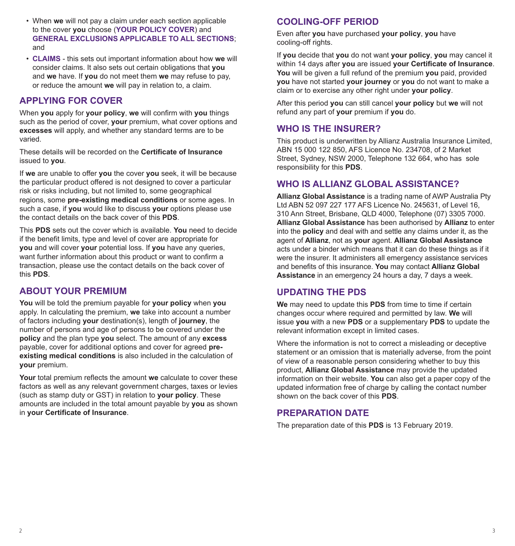- When **we** will not pay a claim under each section applicable to the cover **you** choose (**YOUR POLICY COVER**) and **GENERAL EXCLUSIONS APPLICABLE TO ALL SECTIONS**; and
- **CLAIMS** this sets out important information about how **we** will consider claims. It also sets out certain obligations that **you** and **we** have. If **you** do not meet them **we** may refuse to pay, or reduce the amount **we** will pay in relation to, a claim.

# **APPLYING FOR COVER**

When **you** apply for **your policy**, **we** will confirm with **you** things such as the period of cover, **your** premium, what cover options and **excesses** will apply, and whether any standard terms are to be varied.

These details will be recorded on the **Certificate of Insurance** issued to **you**.

If **we** are unable to offer **you** the cover **you** seek, it will be because the particular product offered is not designed to cover a particular risk or risks including, but not limited to, some geographical regions, some **pre-existing medical conditions** or some ages. In such a case, if **you** would like to discuss **your** options please use the contact details on the back cover of this **PDS**.

This **PDS** sets out the cover which is available. **You** need to decide if the benefit limits, type and level of cover are appropriate for **you** and will cover **your** potential loss. If **you** have any queries, want further information about this product or want to confirm a transaction, please use the contact details on the back cover of this **PDS**.

# **ABOUT YOUR PREMIUM**

**You** will be told the premium payable for **your policy** when **you** apply. In calculating the premium, **we** take into account a number of factors including **your** destination(s), length of **journey**, the number of persons and age of persons to be covered under the **policy** and the plan type **you** select. The amount of any **excess** payable, cover for additional options and cover for agreed **preexisting medical conditions** is also included in the calculation of **your** premium.

**Your** total premium reflects the amount **we** calculate to cover these factors as well as any relevant government charges, taxes or levies (such as stamp duty or GST) in relation to **your policy**. These amounts are included in the total amount payable by **you** as shown in **your Certificate of Insurance**.

# **COOLING-OFF PERIOD**

Even after **you** have purchased **your policy**, **you** have cooling-off rights.

If **you** decide that **you** do not want **your policy**, **you** may cancel it within 14 days after **you** are issued **your Certificate of Insurance**. **You** will be given a full refund of the premium **you** paid, provided **you** have not started **your journey** or **you** do not want to make a claim or to exercise any other right under **your policy**.

After this period **you** can still cancel **your policy** but **we** will not refund any part of **your** premium if **you** do.

# **WHO IS THE INSURER?**

This product is underwritten by Allianz Australia Insurance Limited, ABN 15 000 122 850, AFS Licence No. 234708, of 2 Market Street, Sydney, NSW 2000, Telephone 132 664, who has sole responsibility for this **PDS**.

# **WHO IS ALLIANZ GLOBAL ASSISTANCE?**

**Allianz Global Assistance** is a trading name of AWP Australia Pty Ltd ABN 52 097 227 177 AFS Licence No. 245631, of Level 16, 310 Ann Street, Brisbane, QLD 4000, Telephone (07) 3305 7000. **Allianz Global Assistance** has been authorised by **Allianz** to enter into the **policy** and deal with and settle any claims under it, as the agent of **Allianz**, not as **your** agent. **Allianz Global Assistance** acts under a binder which means that it can do these things as if it were the insurer. It administers all emergency assistance services and benefits of this insurance. **You** may contact **Allianz Global Assistance** in an emergency 24 hours a day, 7 days a week.

# **UPDATING THE PDS**

**We** may need to update this **PDS** from time to time if certain changes occur where required and permitted by law. **We** will issue **you** with a new **PDS** or a supplementary **PDS** to update the relevant information except in limited cases.

Where the information is not to correct a misleading or deceptive statement or an omission that is materially adverse, from the point of view of a reasonable person considering whether to buy this product, **Allianz Global Assistance** may provide the updated information on their website. **You** can also get a paper copy of the updated information free of charge by calling the contact number shown on the back cover of this **PDS**.

# **PREPARATION DATE**

The preparation date of this **PDS** is 13 February 2019.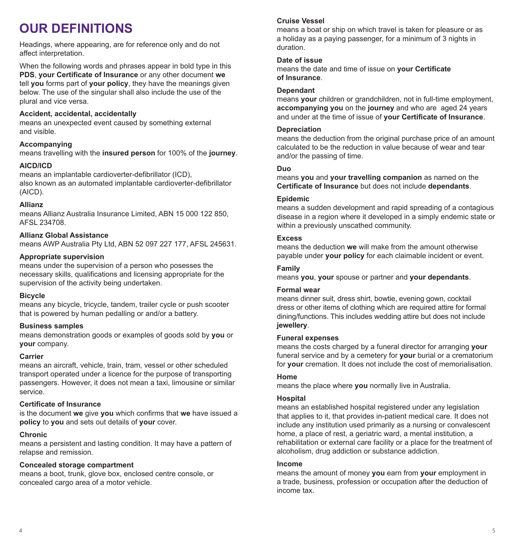# **OUR DEFINITIONS**

Headings, where appearing, are for reference only and do not affect interpretation.

When the following words and phrases appear in bold type in this **PDS**, **your Certificate of Insurance** or any other document **we** tell **you** forms part of **your policy**, they have the meanings given below. The use of the singular shall also include the use of the plural and vice versa.

### **Accident, accidental, accidentally**

means an unexpected event caused by something external and visible.

### **Accompanying**

means travelling with the **insured person** for 100% of the **journey**.

### **AICD/ICD**

means an implantable cardioverter-defibrillator (ICD), also known as an automated implantable cardioverter-defibrillator (AICD).

#### **Allianz**

means Allianz Australia Insurance Limited, ABN 15 000 122 850 AFSL 234708.

#### **Allianz Global Assistance**

means AWP Australia Pty Ltd, ABN 52 097 227 177, AFSL 245631.

#### **Appropriate supervision**

means under the supervision of a person who posesses the necessary skills, qualifications and licensing appropriate for the supervision of the activity being undertaken.

#### **Bicycle**

means any bicycle, tricycle, tandem, trailer cycle or push scooter that is powered by human pedalling or and/or a battery.

#### **Business samples**

means demonstration goods or examples of goods sold by **you** or **your** company.

#### **Carrier**

means an aircraft, vehicle, train, tram, vessel or other scheduled transport operated under a licence for the purpose of transporting passengers. However, it does not mean a taxi, limousine or similar service.

#### **Certificate of Insurance**

is the document **we** give **you** which confirms that **we** have issued a **policy** to **you** and sets out details of **your** cover.

#### **Chronic**

means a persistent and lasting condition. It may have a pattern of relapse and remission.

#### **Concealed storage compartment**

means a boot, trunk, glove box, enclosed centre console, or concealed cargo area of a motor vehicle.

#### **Cruise Vessel**

means a boat or ship on which travel is taken for pleasure or as a holiday as a paying passenger, for a minimum of 3 nights in duration.

#### **Date of issue**

means the date and time of issue on **your Certificate of Insurance**.

#### **Dependant**

means **your** children or grandchildren, not in full-time employment, **accompanying you** on the **journey** and who are aged 24 years and under at the time of issue of **your Certificate of Insurance**.

#### **Depreciation**

means the deduction from the original purchase price of an amount calculated to be the reduction in value because of wear and tear and/or the passing of time.

#### **Duo**

means **you** and **your travelling companion** as named on the **Certificate of Insurance** but does not include **dependants**.

#### **Epidemic**

means a sudden development and rapid spreading of a contagious disease in a region where it developed in a simply endemic state or within a previously unscathed community.

#### **Excess**

means the deduction **we** will make from the amount otherwise payable under **your policy** for each claimable incident or event.

#### **Family**

means **you**, **your** spouse or partner and **your dependants**.

#### **Formal wear**

means dinner suit, dress shirt, bowtie, evening gown, cocktail dress or other items of clothing which are required attire for formal dining/functions. This includes wedding attire but does not include **jewellery**.

#### **Funeral expenses**

means the costs charged by a funeral director for arranging **your** funeral service and by a cemetery for **your** burial or a crematorium for **your** cremation. It does not include the cost of memorialisation.

#### **Home**

means the place where **you** normally live in Australia.

#### **Hospital**

means an established hospital registered under any legislation that applies to it, that provides in-patient medical care. It does not include any institution used primarily as a nursing or convalescent home, a place of rest, a geriatric ward, a mental institution, a rehabilitation or external care facility or a place for the treatment of alcoholism, drug addiction or substance addiction.

#### **Income**

means the amount of money **you** earn from **your** employment in a trade, business, profession or occupation after the deduction of income tax.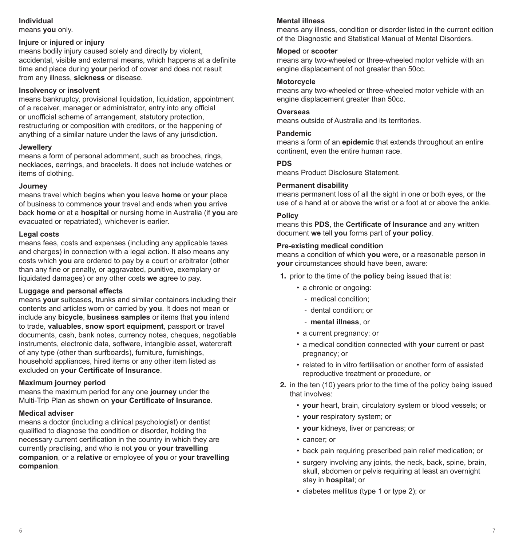#### **Individual**

means **you** only.

#### **Injure** or **injured** or **injury**

means bodily injury caused solely and directly by violent, accidental, visible and external means, which happens at a definite time and place during **your** period of cover and does not result from any illness, **sickness** or disease.

#### **Insolvency** or **insolvent**

means bankruptcy, provisional liquidation, liquidation, appointment of a receiver, manager or administrator, entry into any official or unofficial scheme of arrangement, statutory protection, restructuring or composition with creditors, or the happening of anything of a similar nature under the laws of any jurisdiction.

#### **Jewellery**

means a form of personal adornment, such as brooches, rings, necklaces, earrings, and bracelets. It does not include watches or items of clothing.

#### **Journey**

means travel which begins when **you** leave **home** or **your** place of business to commence **your** travel and ends when **you** arrive back **home** or at a **hospital** or nursing home in Australia (if **you** are evacuated or repatriated), whichever is earlier.

#### **Legal costs**

means fees, costs and expenses (including any applicable taxes and charges) in connection with a legal action. It also means any costs which **you** are ordered to pay by a court or arbitrator (other than any fine or penalty, or aggravated, punitive, exemplary or liquidated damages) or any other costs **we** agree to pay.

#### **Luggage and personal effects**

means **your** suitcases, trunks and similar containers including their contents and articles worn or carried by **you**. It does not mean or include any **bicycle**, **business samples** or items that **you** intend to trade, **valuables**, **snow sport equipment**, passport or travel documents, cash, bank notes, currency notes, cheques, negotiable instruments, electronic data, software, intangible asset, watercraft of any type (other than surfboards), furniture, furnishings, household appliances, hired items or any other item listed as excluded on **your Certificate of Insurance**.

#### **Maximum journey period**

means the maximum period for any one **journey** under the Multi-Trip Plan as shown on **your Certificate of Insurance**.

#### **Medical adviser**

means a doctor (including a clinical psychologist) or dentist qualified to diagnose the condition or disorder, holding the necessary current certification in the country in which they are currently practising, and who is not **you** or **your travelling companion**, or a **relative** or employee of **you** or **your travelling companion**.

#### **Mental illness**

means any illness, condition or disorder listed in the current edition of the Diagnostic and Statistical Manual of Mental Disorders.

#### **Moped** or **scooter**

means any two-wheeled or three-wheeled motor vehicle with an engine displacement of not greater than 50cc.

#### **Motorcycle**

means any two-wheeled or three-wheeled motor vehicle with an engine displacement greater than 50cc.

#### **Overseas**

means outside of Australia and its territories.

#### **Pandemic**

means a form of an **epidemic** that extends throughout an entire continent, even the entire human race.

#### **PDS**

means Product Disclosure Statement.

#### **Permanent disability**

means permanent loss of all the sight in one or both eyes, or the use of a hand at or above the wrist or a foot at or above the ankle.

#### **Policy**

means this **PDS**, the **Certificate of Insurance** and any written document **we** tell **you** forms part of **your policy**.

#### **Pre-existing medical condition**

means a condition of which **you** were, or a reasonable person in **your** circumstances should have been, aware:

- 1. prior to the time of the **policy** being issued that is:
	- a chronic or ongoing:
		- medical condition;
		- dental condition; or
		- **mental illness**, or
	- a current pregnancy; or
	- a medical condition connected with **your** current or past pregnancy; or
	- related to in vitro fertilisation or another form of assisted reproductive treatment or procedure, or
- 2. in the ten (10) years prior to the time of the policy being issued that involves:
	- **your** heart, brain, circulatory system or blood vessels; or
	- **your** respiratory system; or
	- **your** kidneys, liver or pancreas; or
	- cancer; or
	- back pain requiring prescribed pain relief medication; or
	- surgery involving any joints, the neck, back, spine, brain, skull, abdomen or pelvis requiring at least an overnight stay in **hospital**; or
	- diabetes mellitus (type 1 or type 2); or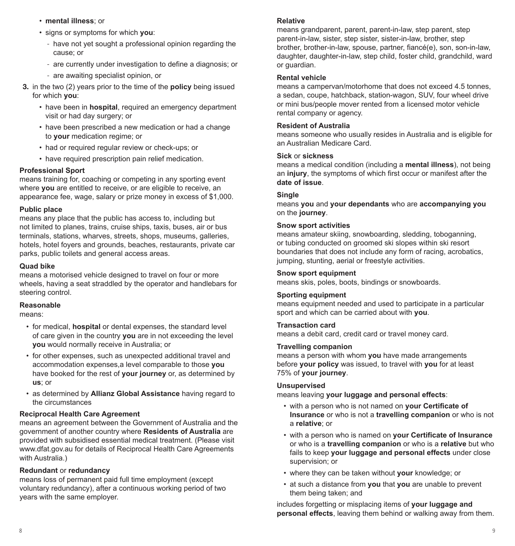- **mental illness**; or
- signs or symptoms for which **you**:
	- have not yet sought a professional opinion regarding the cause; or
	- are currently under investigation to define a diagnosis; or
	- are awaiting specialist opinion, or
- 3. in the two (2) years prior to the time of the **policy** being issued for which **you**:
	- have been in **hospital**, required an emergency department visit or had day surgery; or
	- have been prescribed a new medication or had a change to **your** medication regime; or
	- had or required regular review or check-ups; or
	- have required prescription pain relief medication.

#### **Professional Sport**

means training for, coaching or competing in any sporting event where **you** are entitled to receive, or are eligible to receive, an appearance fee, wage, salary or prize money in excess of \$1,000.

#### **Public place**

means any place that the public has access to, including but not limited to planes, trains, cruise ships, taxis, buses, air or bus terminals, stations, wharves, streets, shops, museums, galleries, hotels, hotel foyers and grounds, beaches, restaurants, private car parks, public toilets and general access areas.

#### **Quad bike**

means a motorised vehicle designed to travel on four or more wheels, having a seat straddled by the operator and handlebars for steering control.

#### **Reasonable**

means:

- for medical, **hospital** or dental expenses, the standard level of care given in the country **you** are in not exceeding the level **you** would normally receive in Australia; or
- for other expenses, such as unexpected additional travel and accommodation expenses,a level comparable to those **you** have booked for the rest of **your journey** or, as determined by **us**; or
- as determined by **Allianz Global Assistance** having regard to the circumstances

#### **Reciprocal Health Care Agreement**

means an agreement between the Government of Australia and the government of another country where **Residents of Australia** are provided with subsidised essential medical treatment. (Please visit www.dfat.gov.au for details of Reciprocal Health Care Agreements with Australia.)

#### **Redundant** or **redundancy**

means loss of permanent paid full time employment (except voluntary redundancy), after a continuous working period of two years with the same employer.

#### **Relative**

means grandparent, parent, parent-in-law, step parent, step parent-in-law, sister, step sister, sister-in-law, brother, step brother, brother-in-law, spouse, partner, fiancé(e), son, son-in-law, daughter, daughter-in-law, step child, foster child, grandchild, ward or guardian.

#### **Rental vehicle**

means a campervan/motorhome that does not exceed 4.5 tonnes, a sedan, coupe, hatchback, station-wagon, SUV, four wheel drive or mini bus/people mover rented from a licensed motor vehicle rental company or agency.

#### **Resident of Australia**

means someone who usually resides in Australia and is eligible for an Australian Medicare Card.

#### **Sick** or **sickness**

means a medical condition (including a **mental illness**), not being an **injury**, the symptoms of which first occur or manifest after the **date of issue**.

#### **Single**

means **you** and **your dependants** who are **accompanying you** on the **journey**.

#### **Snow sport activities**

means amateur skiing, snowboarding, sledding, toboganning, or tubing conducted on groomed ski slopes within ski resort boundaries that does not include any form of racing, acrobatics, jumping, stunting, aerial or freestyle activities.

#### **Snow sport equipment**

means skis, poles, boots, bindings or snowboards.

#### **Sporting equipment**

means equipment needed and used to participate in a particular sport and which can be carried about with **you**.

#### **Transaction card**

means a debit card, credit card or travel money card.

#### **Travelling companion**

means a person with whom **you** have made arrangements before **your policy** was issued, to travel with **you** for at least 75% of **your journey**.

#### **Unsupervised**

means leaving **your luggage and personal effects**:

- with a person who is not named on **your Certificate of Insurance** or who is not a **travelling companion** or who is not a **relative**; or
- with a person who is named on **your Certificate of Insurance** or who is a **travelling companion** or who is a **relative** but who fails to keep **your luggage and personal effects** under close supervision; or
- where they can be taken without **your** knowledge; or
- at such a distance from **you** that **you** are unable to prevent them being taken; and

includes forgetting or misplacing items of **your luggage and personal effects**, leaving them behind or walking away from them.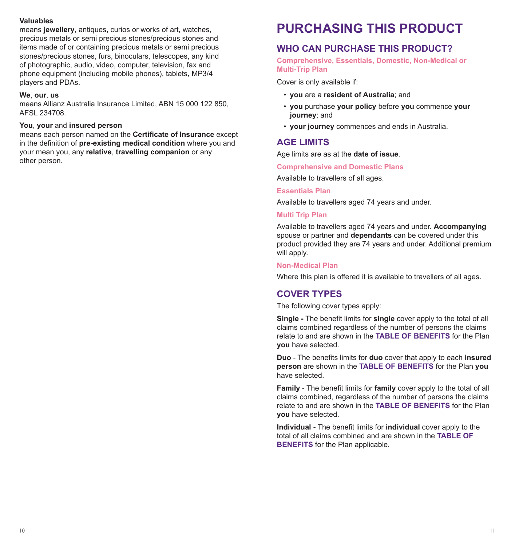#### **Valuables**

means **jewellery**, antiques, curios or works of art, watches, precious metals or semi precious stones/precious stones and items made of or containing precious metals or semi precious stones/precious stones, furs, binoculars, telescopes, any kind of photographic, audio, video, computer, television, fax and phone equipment (including mobile phones), tablets, MP3/4 players and PDAs.

#### **We**, **our**, **us**

means Allianz Australia Insurance Limited, ABN 15 000 122 850, AFSL 234708.

#### **You**, **your** and **insured person**

means each person named on the **Certificate of Insurance** except in the definition of **pre-existing medical condition** where you and your mean you, any **relative**, **travelling companion** or any other person.

# **PURCHASING THIS PRODUCT**

# **WHO CAN PURCHASE THIS PRODUCT?**

**Comprehensive, Essentials, Domestic, Non-Medical or Multi-Trip Plan**

Cover is only available if:

- **you** are a **resident of Australia**; and
- **you** purchase **your policy** before **you** commence **your journey**; and
- **your journey** commences and ends in Australia.

# **AGE LIMITS**

Age limits are as at the **date of issue**.

**Comprehensive and Domestic Plans**

Available to travellers of all ages.

#### **Essentials Plan**

Available to travellers aged 74 years and under.

#### **Multi Trip Plan**

Available to travellers aged 74 years and under. **Accompanying** spouse or partner and **dependants** can be covered under this product provided they are 74 years and under. Additional premium will apply.

#### **Non-Medical Plan**

Where this plan is offered it is available to travellers of all ages.

# **COVER TYPES**

The following cover types apply:

**Single -** The benefit limits for **single** cover apply to the total of all claims combined regardless of the number of persons the claims relate to and are shown in the **TABLE OF BENEFITS** for the Plan **you** have selected.

**Duo** - The benefits limits for **duo** cover that apply to each **insured person** are shown in the **TABLE OF BENEFITS** for the Plan **you** have selected.

**Family** - The benefit limits for **family** cover apply to the total of all claims combined, regardless of the number of persons the claims relate to and are shown in the **TABLE OF BENEFITS** for the Plan **you** have selected.

**Individual -** The benefit limits for **individual** cover apply to the total of all claims combined and are shown in the **TABLE OF BENEFITS** for the Plan applicable.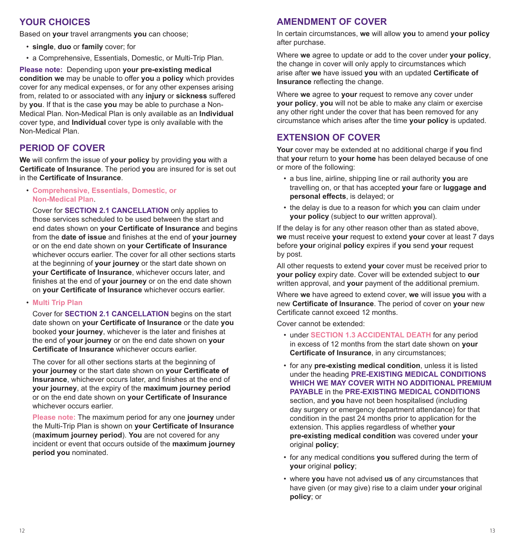# **YOUR CHOICES**

Based on **your** travel arrangments **you** can choose;

- **single**, **duo** or **family** cover; for
- a Comprehensive, Essentials, Domestic, or Multi-Trip Plan.

**Please note:** Depending upon **your pre-existing medical condition we** may be unable to offer **you** a **policy** which provides cover for any medical expenses, or for any other expenses arising from, related to or associated with any **injury** or **sickness** suffered by **you**. If that is the case **you** may be able to purchase a Non-Medical Plan. Non-Medical Plan is only available as an **Individual** cover type, and **Individual** cover type is only available with the Non-Medical Plan.

# **PERIOD OF COVER**

**We** will confirm the issue of **your policy** by providing **you** with a **Certificate of Insurance**. The period **you** are insured for is set out in the **Certificate of Insurance**.

• **Comprehensive, Essentials, Domestic, or Non-Medical Plan**.

Cover for **SECTION 2.1 CANCELLATION** only applies to those services scheduled to be used between the start and end dates shown on **your Certificate of Insurance** and begins from the **date of issue** and finishes at the end of **your journey** or on the end date shown on **your Certificate of Insurance** whichever occurs earlier. The cover for all other sections starts at the beginning of **your journey** or the start date shown on **your Certificate of Insurance**, whichever occurs later, and finishes at the end of **your journey** or on the end date shown on **your Certificate of Insurance** whichever occurs earlier.

#### • **Multi Trip Plan**

Cover for **SECTION 2.1 CANCELLATION** begins on the start date shown on **your Certificate of Insurance** or the date **you** booked **your journey**, whichever is the later and finishes at the end of **your journey** or on the end date shown on **your Certificate of Insurance** whichever occurs earlier.

The cover for all other sections starts at the beginning of **your journey** or the start date shown on **your Certificate of Insurance**, whichever occurs later, and finishes at the end of **your journey**, at the expiry of the **maximum journey period** or on the end date shown on **your Certificate of Insurance** whichever occurs earlier.

**Please note:** The maximum period for any one **journey** under the Multi-Trip Plan is shown on **your Certificate of Insurance**  (**maximum journey period**). **You** are not covered for any incident or event that occurs outside of the **maximum journey period you** nominated.

# **AMENDMENT OF COVER**

In certain circumstances, **we** will allow **you** to amend **your policy** after purchase.

Where **we** agree to update or add to the cover under **your policy**, the change in cover will only apply to circumstances which arise after **we** have issued **you** with an updated **Certificate of Insurance** reflecting the change.

Where **we** agree to **your** request to remove any cover under **your policy**, **you** will not be able to make any claim or exercise any other right under the cover that has been removed for any circumstance which arises after the time **your policy** is updated.

# **EXTENSION OF COVER**

**Your** cover may be extended at no additional charge if **you** find that **your** return to **your home** has been delayed because of one or more of the following:

- a bus line, airline, shipping line or rail authority **you** are travelling on, or that has accepted **your** fare or **luggage and personal effects**, is delayed; or
- the delay is due to a reason for which **you** can claim under **your policy** (subject to **our** written approval).

If the delay is for any other reason other than as stated above, **we** must receive **your** request to extend **your** cover at least 7 days before **your** original **policy** expires if **you** send **your** request by post.

All other requests to extend **your** cover must be received prior to **your policy** expiry date. Cover will be extended subject to **our** written approval, and **your** payment of the additional premium.

Where **we** have agreed to extend cover, **we** will issue **you** with a new **Certificate of Insurance**. The period of cover on **your** new Certificate cannot exceed 12 months.

Cover cannot be extended:

- under **SECTION 1.3 ACCIDENTAL DEATH** for any period in excess of 12 months from the start date shown on **your Certificate of Insurance**, in any circumstances;
- for any **pre-existing medical condition**, unless it is listed under the heading **PRE-EXISTING MEDICAL CONDITIONS WHICH WE MAY COVER WITH NO ADDITIONAL PREMIUM PAYABLE** in the **PRE-EXISTING MEDICAL CONDITIONS** section, and **you** have not been hospitalised (including day surgery or emergency department attendance) for that condition in the past 24 months prior to application for the extension. This applies regardless of whether **your pre-existing medical condition** was covered under **your** original **policy**;
- for any medical conditions **you** suffered during the term of **your** original **policy**;
- where **you** have not advised **us** of any circumstances that have given (or may give) rise to a claim under **your** original **policy**; or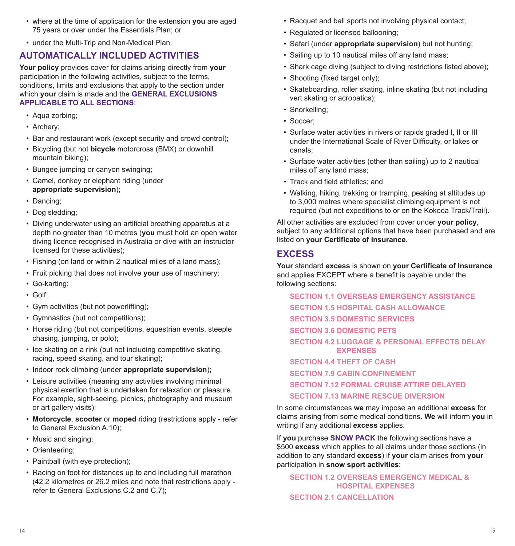- where at the time of application for the extension **you** are aged 75 years or over under the Essentials Plan; or
- under the Multi-Trip and Non-Medical Plan.

# **AUTOMATICALLY INCLUDED ACTIVITIES**

**Your policy** provides cover for claims arising directly from **your** participation in the following activities, subject to the terms, conditions, limits and exclusions that apply to the section under which **your** claim is made and the **GENERAL EXCLUSIONS APPLICABLE TO ALL SECTIONS**:

- Aqua zorbing;
- Archery;
- Bar and restaurant work (except security and crowd control);
- Bicycling (but not **bicycle** motorcross (BMX) or downhill mountain biking);
- Bungee jumping or canyon swinging;
- Camel, donkey or elephant riding (under **appropriate supervision**);
- Dancing;
- Dog sledding;
- Diving underwater using an artificial breathing apparatus at a depth no greater than 10 metres (**you** must hold an open water diving licence recognised in Australia or dive with an instructor licensed for these activities);
- Fishing (on land or within 2 nautical miles of a land mass);
- Fruit picking that does not involve **your** use of machinery;
- Go-karting;
- Golf;
- Gym activities (but not powerlifting);
- Gymnastics (but not competitions);
- Horse riding (but not competitions, equestrian events, steeple chasing, jumping, or polo);
- Ice skating on a rink (but not including competitive skating, racing, speed skating, and tour skating);
- Indoor rock climbing (under **appropriate supervision**);
- Leisure activities (meaning any activities involving minimal physical exertion that is undertaken for relaxation or pleasure. For example, sight-seeing, picnics, photography and museum or art gallery visits);
- **Motorcycle**, **scooter** or **moped** riding (restrictions apply refer to General Exclusion A.10);
- Music and singing;
- Orienteering;
- Paintball (with eye protection);
- Racing on foot for distances up to and including full marathon (42.2 kilometres or 26.2 miles and note that restrictions apply refer to General Exclusions C.2 and C.7);
- Racquet and ball sports not involving physical contact;
- Regulated or licensed ballooning;
- Safari (under **appropriate supervision**) but not hunting;
- Sailing up to 10 nautical miles off any land mass;
- Shark cage diving (subject to diving restrictions listed above);
- Shooting (fixed target only);
- Skateboarding, roller skating, inline skating (but not including vert skating or acrobatics);
- Snorkelling;
- Soccer;
- Surface water activities in rivers or rapids graded I, II or III under the International Scale of River Difficulty, or lakes or canals;
- Surface water activities (other than sailing) up to 2 nautical miles off any land mass;
- Track and field athletics; and
- Walking, hiking, trekking or tramping, peaking at altitudes up to 3,000 metres where specialist climbing equipment is not required (but not expeditions to or on the Kokoda Track/Trail).

All other activities are excluded from cover under **your policy**, subject to any additional options that have been purchased and are listed on **your Certificate of Insurance**.

# **EXCESS**

**Your** standard **excess** is shown on **your Certificate of Insurance**  and applies EXCEPT where a benefit is payable under the following sections:

**SECTION 1.1 OVERSEAS EMERGENCY ASSISTANCE SECTION 1.5 HOSPITAL CASH ALLOWANCE SECTION 3.5 DOMESTIC SERVICES SECTION 3.6 DOMESTIC PETS SECTION 4.2 LUGGAGE & PERSONAL EFFECTS DELAY EXPENSES SECTION 4.4 THEFT OF CASH SECTION 7.9 CABIN CONFINEMENT SECTION 7.12 FORMAL CRUISE ATTIRE DELAYED SECTION 7.13 MARINE RESCUE DIVERSION**

In some circumstances **we** may impose an additional **excess** for claims arising from some medical conditions. **We** will inform **you** in writing if any additional **excess** applies.

If **you** purchase **SNOW PACK** the following sections have a \$500 **excess** which applies to all claims under those sections (in addition to any standard **excess**) if **your** claim arises from **your**  participation in **snow sport activities**:

**SECTION 1.2 OVERSEAS EMERGENCY MEDICAL & HOSPITAL EXPENSES**

**SECTION 2.1 CANCELLATION**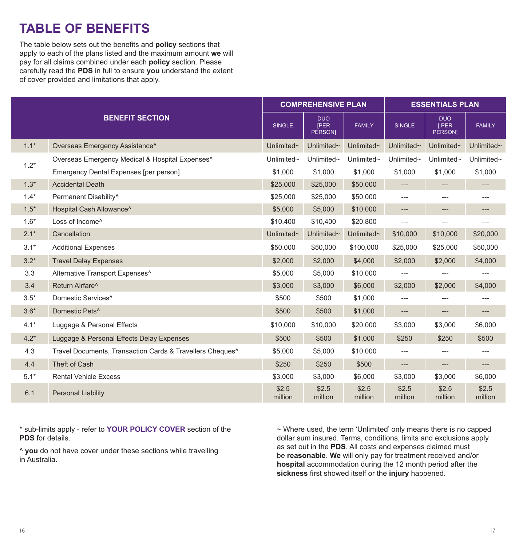# **TABLE OF BENEFITS**

The table below sets out the benefits and **policy** sections that apply to each of the plans listed and the maximum amount **we** will pay for all claims combined under each **policy** section. Please carefully read the **PDS** in full to ensure **you** understand the extent of cover provided and limitations that apply.

|        |                                                             | <b>COMPREHENSIVE PLAN</b> |                                      |                  | <b>ESSENTIALS PLAN</b>              |                                      |                  |
|--------|-------------------------------------------------------------|---------------------------|--------------------------------------|------------------|-------------------------------------|--------------------------------------|------------------|
|        | <b>BENEFIT SECTION</b>                                      | <b>SINGLE</b>             | <b>DUO</b><br><b>IPER</b><br>PERSON] | <b>FAMILY</b>    | <b>SINGLE</b>                       | <b>DUO</b><br>[ PER<br><b>PERSON</b> | <b>FAMILY</b>    |
| $1.1*$ | Overseas Emergency Assistance^                              | Unlimited~                | Unlimited~                           | Unlimited~       | Unlimited $\sim$                    | Unlimited $\sim$                     | Unlimited~       |
| $1.2*$ | Overseas Emergency Medical & Hospital Expenses <sup>^</sup> | Unlimited~                | Unlimited~                           | Unlimited~       | Unlimited~                          | Unlimited~                           | Unlimited~       |
|        | Emergency Dental Expenses [per person]                      | \$1,000                   | \$1,000                              | \$1,000          | \$1,000                             | \$1,000                              | \$1,000          |
| $1.3*$ | <b>Accidental Death</b>                                     | \$25,000                  | \$25,000                             | \$50,000         | $\hspace{0.05cm}---\hspace{0.05cm}$ | $---$                                |                  |
| $1.4*$ | Permanent Disability <sup>^</sup>                           | \$25,000                  | \$25,000                             | \$50,000         | $---$                               | $---$                                | ---              |
| $1.5*$ | Hospital Cash Allowance^                                    | \$5,000                   | \$5,000                              | \$10,000         | $---$                               | ---                                  | ---              |
| $1.6*$ | Loss of Income <sup>^</sup>                                 | \$10,400                  | \$10,400                             | \$20,800         | ---                                 | ---                                  | ---              |
| $2.1*$ | Cancellation                                                | Unlimited~                | Unlimited~                           | Unlimited~       | \$10,000                            | \$10,000                             | \$20,000         |
| $3.1*$ | <b>Additional Expenses</b>                                  | \$50,000                  | \$50,000                             | \$100,000        | \$25,000                            | \$25,000                             | \$50,000         |
| $3.2*$ | <b>Travel Delay Expenses</b>                                | \$2,000                   | \$2,000                              | \$4,000          | \$2,000                             | \$2,000                              | \$4,000          |
| 3.3    | Alternative Transport Expenses <sup>^</sup>                 | \$5,000                   | \$5,000                              | \$10,000         |                                     |                                      |                  |
| 3.4    | Return Airfare <sup>^</sup>                                 | \$3,000                   | \$3,000                              | \$6,000          | \$2,000                             | \$2,000                              | \$4,000          |
| $3.5*$ | Domestic Services <sup>^</sup>                              | \$500                     | \$500                                | \$1,000          | $\qquad \qquad -\qquad$             |                                      |                  |
| $3.6*$ | Domestic Pets <sup>^</sup>                                  | \$500                     | \$500                                | \$1,000          | $---$                               | $---$                                | $---$            |
| $4.1*$ | Luggage & Personal Effects                                  | \$10,000                  | \$10,000                             | \$20,000         | \$3,000                             | \$3,000                              | \$6,000          |
| $4.2*$ | Luggage & Personal Effects Delay Expenses                   | \$500                     | \$500                                | \$1,000          | \$250                               | \$250                                | \$500            |
| 4.3    | Travel Documents, Transaction Cards & Travellers Cheques^   | \$5,000                   | \$5,000                              | \$10,000         | $---$                               | $---$                                | ---              |
| 4.4    | Theft of Cash                                               | \$250                     | \$250                                | \$500            | $\hspace{1.5cm} \dots$              | $---$                                | $---$            |
| $5.1*$ | <b>Rental Vehicle Excess</b>                                | \$3,000                   | \$3,000                              | \$6,000          | \$3,000                             | \$3,000                              | \$6,000          |
| 6.1    | <b>Personal Liability</b>                                   | \$2.5<br>million          | \$2.5<br>million                     | \$2.5<br>million | \$2.5<br>million                    | \$2.5<br>million                     | \$2.5<br>million |

\* sub-limits apply - refer to **YOUR POLICY COVER** section of the **PDS** for details.

^ **you** do not have cover under these sections while travelling in Australia.

~ Where used, the term 'Unlimited' only means there is no capped dollar sum insured. Terms, conditions, limits and exclusions apply as set out in the **PDS**. All costs and expenses claimed must be **reasonable**. **We** will only pay for treatment received and/or **hospital** accommodation during the 12 month period after the **sickness** first showed itself or the **injury** happened.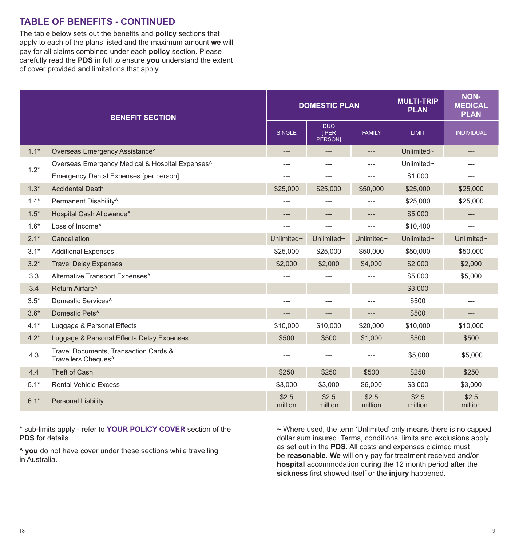# **TABLE OF BENEFITS - CONTINUED**

The table below sets out the benefits and **policy** sections that apply to each of the plans listed and the maximum amount **we** will pay for all claims combined under each **policy** section. Please carefully read the **PDS** in full to ensure **you** understand the extent of cover provided and limitations that apply.

| <b>BENEFIT SECTION</b> |                                                              |                  | <b>DOMESTIC PLAN</b>                 |                  | <b>MULTI-TRIP</b><br><b>PLAN</b> | <b>NON-</b><br><b>MEDICAL</b><br><b>PLAN</b>          |
|------------------------|--------------------------------------------------------------|------------------|--------------------------------------|------------------|----------------------------------|-------------------------------------------------------|
|                        |                                                              | <b>SINGLE</b>    | <b>DUO</b><br>[PER<br><b>PERSONI</b> | <b>FAMILY</b>    | <b>LIMIT</b>                     | <b>INDIVIDUAL</b>                                     |
| $1.1*$                 | Overseas Emergency Assistance <sup>^</sup>                   | $---$            | ---                                  | $---$            | Unlimited~                       | $-\!-\!$                                              |
| $1.2*$                 | Overseas Emergency Medical & Hospital Expenses <sup>^</sup>  | ---              | ---                                  | ---              | Unlimited~                       | ---                                                   |
|                        | Emergency Dental Expenses [per person]                       | $---$            | ---                                  | ---              | \$1,000                          | $---$                                                 |
| $1.3*$                 | <b>Accidental Death</b>                                      | \$25,000         | \$25,000                             | \$50,000         | \$25,000                         | \$25,000                                              |
| $1.4*$                 | Permanent Disability^                                        | $---$            | ---                                  | $---$            | \$25,000                         | \$25,000                                              |
| $1.5*$                 | Hospital Cash Allowance^                                     | $---$            | $---$                                | $---$            | \$5,000                          | ---                                                   |
| $1.6*$                 | Loss of Income^                                              | ---              | ---                                  | $---$            | \$10,400                         | $\overline{a}$                                        |
| $2.1*$                 | Cancellation                                                 | Unlimited~       | Unlimited~                           | Unlimited~       | Unlimited~                       | Unlimited~                                            |
| $3.1*$                 | <b>Additional Expenses</b>                                   | \$25,000         | \$25,000                             | \$50,000         | \$50,000                         | \$50,000                                              |
| $3.2*$                 | <b>Travel Delay Expenses</b>                                 | \$2,000          | \$2,000                              | \$4,000          | \$2,000                          | \$2,000                                               |
| 3.3                    | Alternative Transport Expenses <sup>^</sup>                  | ---              | ---                                  | $---$            | \$5,000                          | \$5,000                                               |
| 3.4                    | Return Airfare <sup>^</sup>                                  | $---$            | $---$                                | $---$            | \$3,000                          | $\hspace{1.5cm} \hspace{1.5cm} \ldots \hspace{1.5cm}$ |
| $3.5*$                 | Domestic Services <sup>^</sup>                               | $---$            | $---$                                | $---$            | \$500                            | $---$                                                 |
| $3.6*$                 | Domestic Pets <sup>^</sup>                                   |                  | ---                                  | ---              | \$500                            | $---$                                                 |
| $4.1*$                 | Luggage & Personal Effects                                   | \$10,000         | \$10,000                             | \$20,000         | \$10,000                         | \$10,000                                              |
| $4.2*$                 | Luggage & Personal Effects Delay Expenses                    | \$500            | \$500                                | \$1,000          | \$500                            | \$500                                                 |
| 4.3                    | Travel Documents, Transaction Cards &<br>Travellers Cheques^ | ---              |                                      |                  | \$5,000                          | \$5,000                                               |
| 4.4                    | Theft of Cash                                                | \$250            | \$250                                | \$500            | \$250                            | \$250                                                 |
| $5.1*$                 | <b>Rental Vehicle Excess</b>                                 | \$3,000          | \$3,000                              | \$6,000          | \$3,000                          | \$3,000                                               |
| $6.1*$                 | <b>Personal Liability</b>                                    | \$2.5<br>million | \$2.5<br>million                     | \$2.5<br>million | \$2.5<br>million                 | \$2.5<br>million                                      |

\* sub-limits apply - refer to **YOUR POLICY COVER** section of the **PDS** for details.

^ **you** do not have cover under these sections while travelling in Australia.

~ Where used, the term 'Unlimited' only means there is no capped dollar sum insured. Terms, conditions, limits and exclusions apply as set out in the **PDS**. All costs and expenses claimed must be **reasonable**. **We** will only pay for treatment received and/or **hospital** accommodation during the 12 month period after the **sickness** first showed itself or the **injury** happened.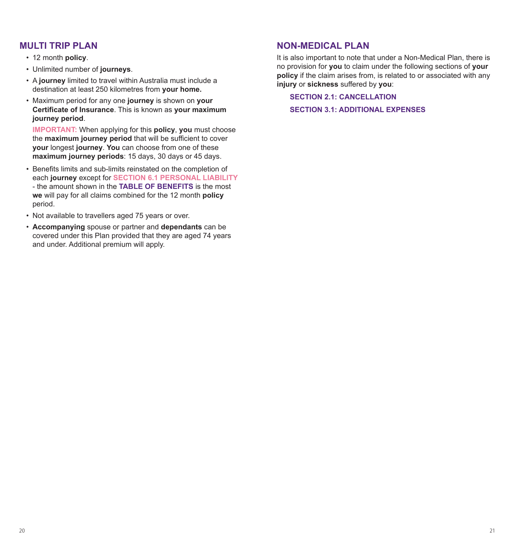# **MULTI TRIP PLAN**

- 12 month **policy**.
- Unlimited number of **journeys**.
- A **journey** limited to travel within Australia must include a destination at least 250 kilometres from **your home.**
- Maximum period for any one **journey** is shown on **your Certificate of Insurance**. This is known as **your maximum journey period**.

**IMPORTANT:** When applying for this **policy**, **you** must choose the **maximum journey period** that will be sufficient to cover **your** longest **journey**. **You** can choose from one of these **maximum journey periods**: 15 days, 30 days or 45 days.

- Benefits limits and sub-limits reinstated on the completion of each **journey** except for **SECTION 6.1 PERSONAL LIABILITY**  - the amount shown in the **TABLE OF BENEFITS** is the most **we** will pay for all claims combined for the 12 month **policy** period.
- Not available to travellers aged 75 years or over.
- **Accompanying** spouse or partner and **dependants** can be covered under this Plan provided that they are aged 74 years and under. Additional premium will apply.

# **NON-MEDICAL PLAN**

It is also important to note that under a Non-Medical Plan, there is no provision for **you** to claim under the following sections of **your policy** if the claim arises from, is related to or associated with any **injury** or **sickness** suffered by **you**:

**SECTION 2.1: CANCELLATION**

**SECTION 3.1: ADDITIONAL EXPENSES**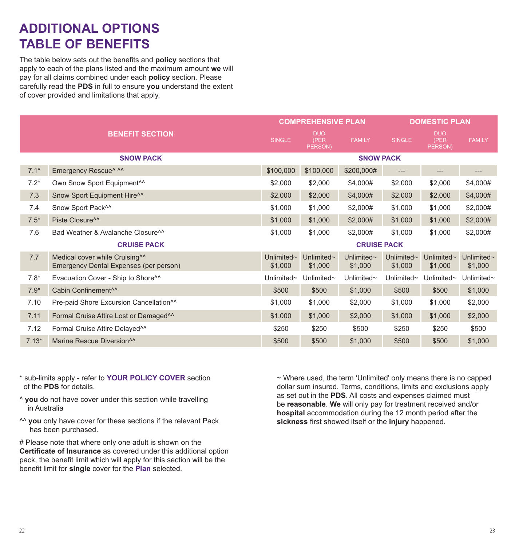# **ADDITIONAL OPTIONS TABLE OF BENEFITS**

The table below sets out the benefits and **policy** sections that apply to each of the plans listed and the maximum amount **we** will pay for all claims combined under each **policy** section. Please carefully read the **PDS** in full to ensure **you** understand the extent of cover provided and limitations that apply.

|                    |                                                                                      | <b>COMPREHENSIVE PLAN</b>   |                               |                       | <b>DOMESTIC PLAN</b>        |                               |                       |
|--------------------|--------------------------------------------------------------------------------------|-----------------------------|-------------------------------|-----------------------|-----------------------------|-------------------------------|-----------------------|
|                    | <b>BENEFIT SECTION</b>                                                               | <b>SINGLE</b>               | <b>DUO</b><br>(PER<br>PERSON) | <b>FAMILY</b>         | <b>SINGLE</b>               | <b>DUO</b><br>(PER<br>PERSON) | <b>FAMILY</b>         |
|                    | <b>SNOW PACK</b>                                                                     |                             |                               | <b>SNOW PACK</b>      |                             |                               |                       |
| $7.1*$             | Emergency Rescue^ ^^                                                                 | \$100,000                   | \$100,000                     | \$200,000#            | ---                         | ---                           |                       |
| $7.2*$             | Own Snow Sport Equipment <sup>^^</sup>                                               | \$2,000                     | \$2,000                       | \$4,000#              | \$2,000                     | \$2,000                       | \$4,000#              |
| 7.3                | Snow Sport Equipment Hire^^                                                          | \$2,000                     | \$2,000                       | \$4,000#              | \$2,000                     | \$2,000                       | \$4,000#              |
| 7.4                | Snow Sport Pack <sup>^^</sup>                                                        | \$1,000                     | \$1,000                       | \$2,000#              | \$1,000                     | \$1,000                       | \$2,000#              |
| $7.5*$             | Piste Closure <sup>^^</sup>                                                          | \$1,000                     | \$1,000                       | \$2,000#              | \$1,000                     | \$1,000                       | \$2,000#              |
| 7.6                | Bad Weather & Avalanche Closure <sup>11</sup>                                        | \$1,000                     | \$1,000                       | \$2,000#              | \$1,000                     | \$1,000                       | \$2,000#              |
| <b>CRUISE PACK</b> |                                                                                      | <b>CRUISE PACK</b>          |                               |                       |                             |                               |                       |
| 7.7                | Medical cover while Cruising <sup>^^</sup><br>Emergency Dental Expenses (per person) | Unlimited $\sim$<br>\$1,000 | Unlimited $\sim$<br>\$1,000   | Unlimited~<br>\$1,000 | Unlimited $\sim$<br>\$1,000 | Unlimited~<br>\$1,000         | Unlimited~<br>\$1,000 |
| $7.8*$             | Evacuation Cover - Ship to Shore <sup>11</sup>                                       | Unlimited~                  | Unlimited $\sim$              | Unlimited $\sim$      | Unlimited~                  | Unlimited~                    | Unlimited~            |
| $7.9*$             | Cabin Confinement <sup>^^</sup>                                                      | \$500                       | \$500                         | \$1,000               | \$500                       | \$500                         | \$1,000               |
| 7.10               | Pre-paid Shore Excursion Cancellation <sup>^^</sup>                                  | \$1,000                     | \$1,000                       | \$2,000               | \$1,000                     | \$1,000                       | \$2,000               |
| 7.11               | Formal Cruise Attire Lost or Damaged <sup>^^</sup>                                   | \$1,000                     | \$1,000                       | \$2,000               | \$1,000                     | \$1,000                       | \$2,000               |
| 7.12               | Formal Cruise Attire Delayed <sup>^^</sup>                                           | \$250                       | \$250                         | \$500                 | \$250                       | \$250                         | \$500                 |
| $7.13*$            | Marine Rescue Diversion <sup>^^</sup>                                                | \$500                       | \$500                         | \$1,000               | \$500                       | \$500                         | \$1,000               |

- \* sub-limits apply refer to **YOUR POLICY COVER** section of the **PDS** for details.
- ^ **you** do not have cover under this section while travelling in Australia
- ^^ **you** only have cover for these sections if the relevant Pack has been purchased.

# Please note that where only one adult is shown on the **Certificate of Insurance** as covered under this additional option pack, the benefit limit which will apply for this section will be the benefit limit for **single** cover for the **Plan** selected.

~ Where used, the term 'Unlimited' only means there is no capped dollar sum insured. Terms, conditions, limits and exclusions apply as set out in the **PDS**. All costs and expenses claimed must be **reasonable**. **We** will only pay for treatment received and/or **hospital** accommodation during the 12 month period after the **sickness** first showed itself or the **injury** happened.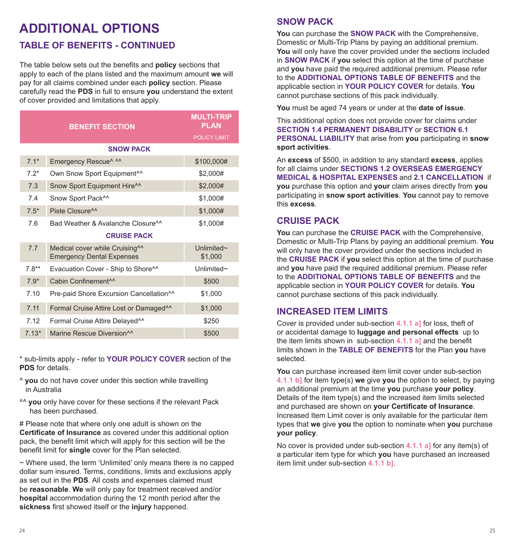# **ADDITIONAL OPTIONS TABLE OF BENEFITS - CONTINUED**

The table below sets out the benefits and **policy** sections that apply to each of the plans listed and the maximum amount **we** will pay for all claims combined under each **policy** section. Please carefully read the **PDS** in full to ensure **you** understand the extent of cover provided and limitations that apply.

|                    | <b>BENEFIT SECTION</b>                                                         | <b>MULTI-TRIP</b><br><b>PLAN</b> |
|--------------------|--------------------------------------------------------------------------------|----------------------------------|
|                    |                                                                                | <b>POLICY LIMIT</b>              |
|                    | <b>SNOW PACK</b>                                                               |                                  |
| $7.1*$             | Emergency Rescue^ ^^                                                           | \$100,000#                       |
| $7.2*$             | Own Snow Sport Equipment <sup>^^</sup>                                         | \$2,000#                         |
| 7.3                | Snow Sport Equipment Hire^^                                                    | \$2,000#                         |
| 7.4                | Snow Sport Pack <sup>^^</sup>                                                  | \$1,000#                         |
| $7.5*$             | Piste Closure <sup>^^</sup>                                                    | \$1,000#                         |
| 7.6                | Bad Weather & Avalanche Closure <sup>^^</sup>                                  | \$1,000#                         |
| <b>CRUISE PACK</b> |                                                                                |                                  |
| 7.7                | Medical cover while Cruising <sup>^^</sup><br><b>Emergency Dental Expenses</b> | Unlimited $\sim$<br>\$1,000      |
| $7.8**$            | Evacuation Cover - Ship to Shore <sup>^^</sup>                                 | Unlimited $\sim$                 |
| $7.9*$             | Cabin Confinement <sup>^^</sup>                                                | \$500                            |
| 7.10               | Pre-paid Shore Excursion Cancellation <sup>^^</sup>                            | \$1,000                          |
| 7.11               | Formal Cruise Attire Lost or Damaged <sup>^^</sup>                             | \$1,000                          |
| 7.12               | Formal Cruise Attire Delayed <sup>^^</sup>                                     | \$250                            |
| $7.13*$            | Marine Rescue Diversion <sup>11</sup>                                          | \$500                            |

\* sub-limits apply - refer to **YOUR POLICY COVER** section of the **PDS** for details.

- ^ **you** do not have cover under this section while travelling in Australia
- ^^ **you** only have cover for these sections if the relevant Pack has been purchased.

# Please note that where only one adult is shown on the **Certificate of Insurance** as covered under this additional option pack, the benefit limit which will apply for this section will be the benefit limit for **single** cover for the Plan selected.

~ Where used, the term 'Unlimited' only means there is no capped dollar sum insured. Terms, conditions, limits and exclusions apply as set out in the **PDS**. All costs and expenses claimed must be **reasonable**. **We** will only pay for treatment received and/or **hospital** accommodation during the 12 month period after the **sickness** first showed itself or the **injury** happened.

# **SNOW PACK**

**You** can purchase the **SNOW PACK** with the Comprehensive, Domestic or Multi-Trip Plans by paying an additional premium. **You** will only have the cover provided under the sections included in **SNOW PACK** if **you** select this option at the time of purchase and **you** have paid the required additional premium. Please refer to the **ADDITIONAL OPTIONS TABLE OF BENEFITS** and the applicable section in **YOUR POLICY COVER** for details. **You** cannot purchase sections of this pack individually.

**You** must be aged 74 years or under at the **date of issue**.

This additional option does not provide cover for claims under **SECTION 1.4 PERMANENT DISABILITY** or **SECTION 6.1 PERSONAL LIABILITY** that arise from **you** participating in **snow sport activities**.

An **excess** of \$500, in addition to any standard **excess**, applies for all claims under **SECTIONS 1.2 OVERSEAS EMERGENCY MEDICAL & HOSPITAL EXPENSES** and **2.1 CANCELLATION** if **you** purchase this option and **your** claim arises directly from **you** participating in **snow sport activities**. **You** cannot pay to remove this **excess**.

# **CRUISE PACK**

**You** can purchase the **CRUISE PACK** with the Comprehensive, Domestic or Multi-Trip Plans by paying an additional premium. **You** will only have the cover provided under the sections included in the **CRUISE PACK** if **you** select this option at the time of purchase and **you** have paid the required additional premium. Please refer to the **ADDITIONAL OPTIONS TABLE OF BENEFITS** and the applicable section in **YOUR POLICY COVER** for details. **You** cannot purchase sections of this pack individually.

# **INCREASED ITEM LIMITS**

Cover is provided under sub-section **4.1.1 a]** for loss, theft of or accidental damage to **luggage and personal effects** up to the item limits shown in sub-section **4.1.1 a]** and the benefit limits shown in the **TABLE OF BENEFITS** for the Plan **you** have selected.

**You** can purchase increased item limit cover under sub-section **4.1.1 b]** for item type(s) **we** give **you** the option to select, by paying an additional premium at the time **you** purchase **your policy**. Details of the item type(s) and the increased item limits selected and purchased are shown on **your Certificate of Insurance**. Increased Item Limit cover is only available for the particular item types that **we** give **you** the option to nominate when **you** purchase **your policy**.

No cover is provided under sub-section **4.1.1 a]** for any item(s) of a particular item type for which **you** have purchased an increased item limit under sub-section **4.1.1 b]**.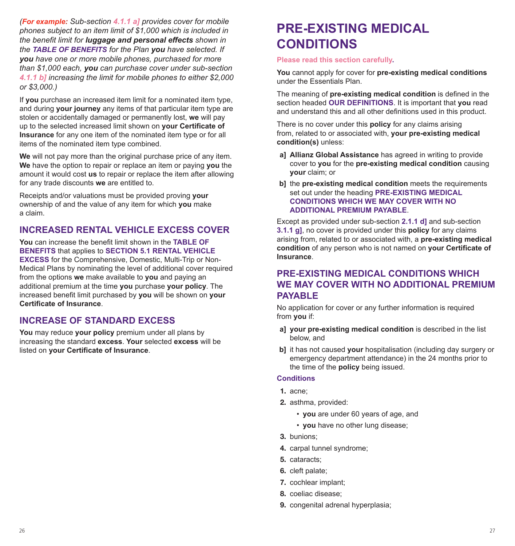*(For example: Sub-section 4.1.1 a] provides cover for mobile phones subject to an item limit of \$1,000 which is included in the benefit limit for luggage and personal effects shown in the TABLE OF BENEFITS for the Plan you have selected. If you have one or more mobile phones, purchased for more than \$1,000 each, you can purchase cover under sub-section 4.1.1 b] increasing the limit for mobile phones to either \$2,000 or \$3,000.)*

If **you** purchase an increased item limit for a nominated item type, and during **your journey** any items of that particular item type are stolen or accidentally damaged or permanently lost, **we** will pay up to the selected increased limit shown on **your Certificate of Insurance** for any one item of the nominated item type or for all items of the nominated item type combined.

**We** will not pay more than the original purchase price of any item. **We** have the option to repair or replace an item or paying **you** the amount it would cost **us** to repair or replace the item after allowing for any trade discounts **we** are entitled to.

Receipts and/or valuations must be provided proving **your** ownership of and the value of any item for which **you** make a claim.

# **INCREASED RENTAL VEHICLE EXCESS COVER**

**You** can increase the benefit limit shown in the **TABLE OF BENEFITS** that applies to **SECTION 5.1 RENTAL VEHICLE EXCESS** for the Comprehensive, Domestic, Multi-Trip or Non-Medical Plans by nominating the level of additional cover required from the options **we** make available to **you** and paying an additional premium at the time **you** purchase **your policy**. The increased benefit limit purchased by **you** will be shown on **your Certificate of Insurance**.

# **INCREASE OF STANDARD EXCESS**

**You** may reduce **your policy** premium under all plans by increasing the standard **excess**. **Your** selected **excess** will be listed on **your Certificate of Insurance**.

# **PRE-EXISTING MEDICAL CONDITIONS**

#### **Please read this section carefully.**

**You** cannot apply for cover for **pre-existing medical conditions** under the Essentials Plan.

The meaning of **pre-existing medical condition** is defined in the section headed **OUR DEFINITIONS**. It is important that **you** read and understand this and all other definitions used in this product.

There is no cover under this **policy** for any claims arising from, related to or associated with, **your pre-existing medical condition(s)** unless:

- **a] Allianz Global Assistance** has agreed in writing to provide cover to **you** for the **pre-existing medical condition** causing **your** claim; or
- **b]** the **pre-existing medical condition** meets the requirements set out under the heading **PRE-EXISTING MEDICAL CONDITIONS WHICH WE MAY COVER WITH NO ADDITIONAL PREMIUM PAYABLE**.

Except as provided under sub-section **2.1.1 d]** and sub-section **3.1.1 g]**, no cover is provided under this **policy** for any claims arising from, related to or associated with, a **pre-existing medical condition** of any person who is not named on **your Certificate of Insurance**.

# **PRE-EXISTING MEDICAL CONDITIONS WHICH WE MAY COVER WITH NO ADDITIONAL PREMIUM PAYABLE**

No application for cover or any further information is required from **you** if:

- **a] your pre-existing medical condition** is described in the list below, and
- **b]** it has not caused **your** hospitalisation (including day surgery or emergency department attendance) in the 24 months prior to the time of the **policy** being issued.

#### **Conditions**

- 1. acne;
- 2. asthma, provided:
	- **you** are under 60 years of age, and
	- **you** have no other lung disease;
- 3. bunions;
- 4. carpal tunnel syndrome;
- 5. cataracts;
- 6. cleft palate;
- 7. cochlear implant;
- 8. coeliac disease;
- 9. congenital adrenal hyperplasia: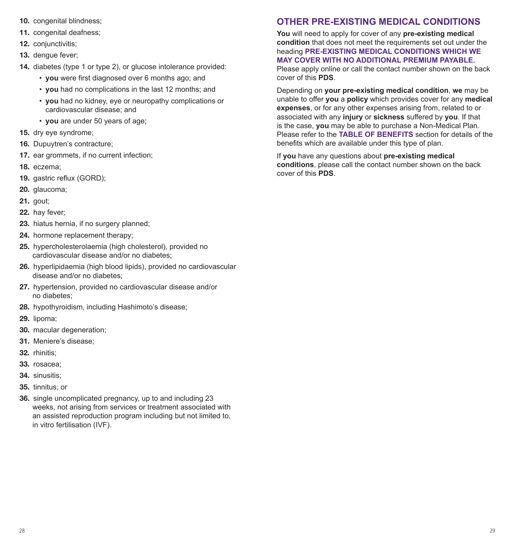- 10. congenital blindness:
- 11. congenital deafness:
- 12. conjunctivitis:
- 13. dengue fever;
- 14. diabetes (type 1 or type 2), or glucose intolerance provided:
	- **you** were first diagnosed over 6 months ago; and
	- **you** had no complications in the last 12 months; and
	- **you** had no kidney, eye or neuropathy complications or cardiovascular disease; and
	- **you** are under 50 years of age;
- 15. dry eye syndrome;
- 16. Dupuytren's contracture;
- 17. ear grommets, if no current infection:
- 18. eczema;
- 19. gastric reflux (GORD);
- 20. glaucoma;
- 21. gout;
- 22. hay fever:
- 23. hiatus hernia, if no surgery planned;
- 24. hormone replacement therapy;
- 25. hypercholesterolaemia (high cholesterol), provided no cardiovascular disease and/or no diabetes;
- 26. hyperlipidaemia (high blood lipids), provided no cardiovascular disease and/or no diabetes;
- 27. hypertension, provided no cardiovascular disease and/or no diabetes;
- 28. hypothyroidism, including Hashimoto's disease;
- 29. lipoma;
- 30. macular degeneration;
- 31. Meniere's disease;
- 32. rhinitis:
- 33. rosacea;
- 34. sinusitis;
- 35. tinnitus; or
- 36. single uncomplicated pregnancy, up to and including 23 weeks, not arising from services or treatment associated with an assisted reproduction program including but not limited to, in vitro fertilisation (IVF).

# **OTHER PRE-EXISTING MEDICAL CONDITIONS**

**You** will need to apply for cover of any **pre-existing medical condition** that does not meet the requirements set out under the heading **PRE-EXISTING MEDICAL CONDITIONS WHICH WE MAY COVER WITH NO ADDITIONAL PREMIUM PAYABLE.**

Please apply online or call the contact number shown on the back cover of this **PDS**.

Depending on **your pre-existing medical condition**, **we** may be unable to offer **you** a **policy** which provides cover for any **medical expenses**, or for any other expenses arising from, related to or associated with any **injury** or **sickness** suffered by **you**. If that is the case, **you** may be able to purchase a Non-Medical Plan. Please refer to the **TABLE OF BENEFITS** section for details of the benefits which are available under this type of plan.

If **you** have any questions about **pre-existing medical conditions**, please call the contact number shown on the back cover of this **PDS**.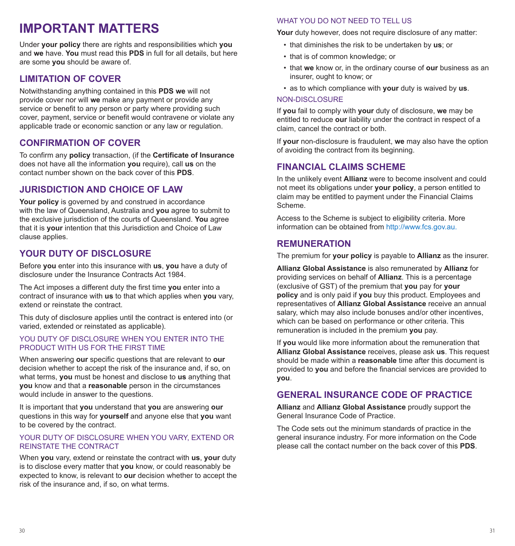# **IMPORTANT MATTERS**

Under **your policy** there are rights and responsibilities which **you** and **we** have. **You** must read this **PDS** in full for all details, but here are some **you** should be aware of.

# **LIMITATION OF COVER**

Notwithstanding anything contained in this **PDS we** will not provide cover nor will **we** make any payment or provide any service or benefit to any person or party where providing such cover, payment, service or benefit would contravene or violate any applicable trade or economic sanction or any law or regulation.

# **CONFIRMATION OF COVER**

To confirm any **policy** transaction, (if the **Certificate of Insurance** does not have all the information **you** require), call **us** on the contact number shown on the back cover of this **PDS**.

# **JURISDICTION AND CHOICE OF LAW**

Your policy is governed by and construed in accordance with the law of Queensland, Australia and **you** agree to submit to the exclusive jurisdiction of the courts of Queensland. **You** agree that it is **your** intention that this Jurisdiction and Choice of Law clause applies.

# **YOUR DUTY OF DISCLOSURE**

Before **you** enter into this insurance with **us**, **you** have a duty of disclosure under the Insurance Contracts Act 1984.

The Act imposes a different duty the first time **you** enter into a contract of insurance with **us** to that which applies when **you** vary, extend or reinstate the contract.

This duty of disclosure applies until the contract is entered into (or varied, extended or reinstated as applicable).

#### YOU DUTY OF DISCLOSURE WHEN YOU ENTER INTO THE PRODUCT WITH US FOR THE FIRST TIME

When answering **our** specific questions that are relevant to **our** decision whether to accept the risk of the insurance and, if so, on what terms, **you** must be honest and disclose to **us** anything that **you** know and that a **reasonable** person in the circumstances would include in answer to the questions.

It is important that **you** understand that **you** are answering **our** questions in this way for **yourself** and anyone else that **you** want to be covered by the contract.

### YOUR DUTY OF DISCLOSURE WHEN YOU VARY, EXTEND OR REINSTATE THE CONTRACT

When **you** vary, extend or reinstate the contract with **us**, **your** duty is to disclose every matter that **you** know, or could reasonably be expected to know, is relevant to **our** decision whether to accept the risk of the insurance and, if so, on what terms.

# WHAT YOU DO NOT NEED TO TELL US

**Your** duty however, does not require disclosure of any matter:

- that diminishes the risk to be undertaken by **us**; or
- that is of common knowledge; or
- that **we** know or, in the ordinary course of **our** business as an insurer, ought to know; or
- as to which compliance with **your** duty is waived by **us**.

# NON-DISCLOSURE

If **you** fail to comply with **your** duty of disclosure, **we** may be entitled to reduce **our** liability under the contract in respect of a claim, cancel the contract or both.

If **your** non-disclosure is fraudulent, **we** may also have the option of avoiding the contract from its beginning.

# **FINANCIAL CLAIMS SCHEME**

In the unlikely event **Allianz** were to become insolvent and could not meet its obligations under **your policy**, a person entitled to claim may be entitled to payment under the Financial Claims Scheme.

Access to the Scheme is subject to eligibility criteria. More information can be obtained from http://www.fcs.gov.au.

# **REMUNERATION**

The premium for **your policy** is payable to **Allianz** as the insurer.

**Allianz Global Assistance** is also remunerated by **Allianz** for providing services on behalf of **Allianz**. This is a percentage (exclusive of GST) of the premium that **you** pay for **your policy** and is only paid if **you** buy this product. Employees and representatives of **Allianz Global Assistance** receive an annual salary, which may also include bonuses and/or other incentives, which can be based on performance or other criteria. This remuneration is included in the premium **you** pay.

If **you** would like more information about the remuneration that **Allianz Global Assistance** receives, please ask **us**. This request should be made within a **reasonable** time after this document is provided to **you** and before the financial services are provided to **you**.

# **GENERAL INSURANCE CODE OF PRACTICE**

**Allianz** and **Allianz Global Assistance** proudly support the General Insurance Code of Practice.

The Code sets out the minimum standards of practice in the general insurance industry. For more information on the Code please call the contact number on the back cover of this **PDS**.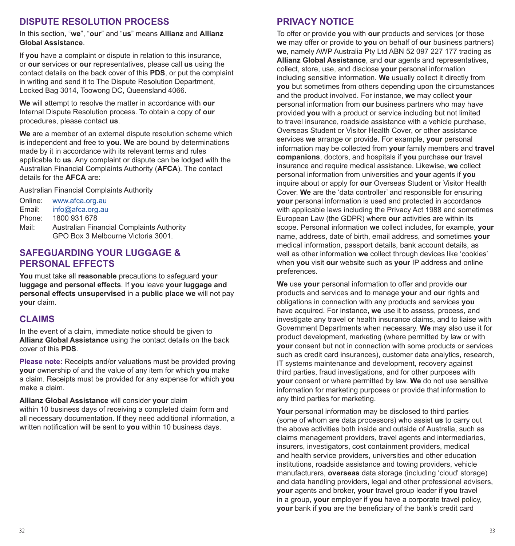# **DISPUTE RESOLUTION PROCESS**

In this section, "**we**", "**our**" and "**us**" means **Allianz** and **Allianz Global Assistance**.

If **you** have a complaint or dispute in relation to this insurance, or **our** services or **our** representatives, please call **us** using the contact details on the back cover of this **PDS**, or put the complaint in writing and send it to The Dispute Resolution Department, Locked Bag 3014, Toowong DC, Queensland 4066.

**We** will attempt to resolve the matter in accordance with **our**  Internal Dispute Resolution process. To obtain a copy of **our** procedures, please contact **us**.

**We** are a member of an external dispute resolution scheme which is independent and free to **you**. **We** are bound by determinations made by it in accordance with its relevant terms and rules applicable to **us**. Any complaint or dispute can be lodged with the Australian Financial Complaints Authority (**AFCA**). The contact details for the **AFCA** are:

Australian Financial Complaints Authority

| www.afca.org.au                                  |
|--------------------------------------------------|
| info@afca.org.au                                 |
| 1800 931 678                                     |
| <b>Australian Financial Complaints Authority</b> |
| GPO Box 3 Melbourne Victoria 3001.               |
|                                                  |

# **SAFEGUARDING YOUR LUGGAGE & PERSONAL EFFECTS**

**You** must take all **reasonable** precautions to safeguard **your luggage and personal effects**. If **you** leave **your luggage and personal effects unsupervised** in a **public place we** will not pay **your** claim.

# **CLAIMS**

In the event of a claim, immediate notice should be given to **Allianz Global Assistance** using the contact details on the back cover of this **PDS**.

**Please note:** Receipts and/or valuations must be provided proving **your** ownership of and the value of any item for which **you** make a claim. Receipts must be provided for any expense for which **you** make a claim.

**Allianz Global Assistance** will consider **your** claim within 10 business days of receiving a completed claim form and all necessary documentation. If they need additional information, a written notification will be sent to **you** within 10 business days.

# **PRIVACY NOTICE**

To offer or provide **you** with **our** products and services (or those **we** may offer or provide to **you** on behalf of **our** business partners) **we**, namely AWP Australia Pty Ltd ABN 52 097 227 177 trading as **Allianz Global Assistance**, and **our** agents and representatives, collect, store, use, and disclose **your** personal information including sensitive information. **We** usually collect it directly from **you** but sometimes from others depending upon the circumstances and the product involved. For instance, **we** may collect **your** personal information from **our** business partners who may have provided **you** with a product or service including but not limited to travel insurance, roadside assistance with a vehicle purchase, Overseas Student or Visitor Health Cover, or other assistance services **we** arrange or provide. For example, **your** personal information may be collected from **your** family members and **travel companions**, doctors, and hospitals if **you** purchase **our** travel insurance and require medical assistance. Likewise, **we** collect personal information from universities and **your** agents if **you** inquire about or apply for **our** Overseas Student or Visitor Health Cover. **We** are the 'data controller' and responsible for ensuring **your** personal information is used and protected in accordance with applicable laws including the Privacy Act 1988 and sometimes European Law (the GDPR) where **our** activities are within its scope. Personal information **we** collect includes, for example, **your** name, address, date of birth, email address, and sometimes **your** medical information, passport details, bank account details, as well as other information **we** collect through devices like 'cookies' when **you** visit **our** website such as **your** IP address and online preferences.

**We** use **your** personal information to offer and provide **our** products and services and to manage **your** and **our** rights and obligations in connection with any products and services **you** have acquired. For instance, **we** use it to assess, process, and investigate any travel or health insurance claims, and to liaise with Government Departments when necessary. **We** may also use it for product development, marketing (where permitted by law or with **your** consent but not in connection with some products or services such as credit card insurances), customer data analytics, research, IT systems maintenance and development, recovery against third parties, fraud investigations, and for other purposes with **your** consent or where permitted by law. **We** do not use sensitive information for marketing purposes or provide that information to any third parties for marketing.

**Your** personal information may be disclosed to third parties (some of whom are data processors) who assist **us** to carry out the above activities both inside and outside of Australia, such as claims management providers, travel agents and intermediaries, insurers, investigators, cost containment providers, medical and health service providers, universities and other education institutions, roadside assistance and towing providers, vehicle manufacturers, **overseas** data storage (including 'cloud' storage) and data handling providers, legal and other professional advisers, **your** agents and broker, **your** travel group leader if **you** travel in a group, **your** employer if **you** have a corporate travel policy, **your** bank if **you** are the beneficiary of the bank's credit card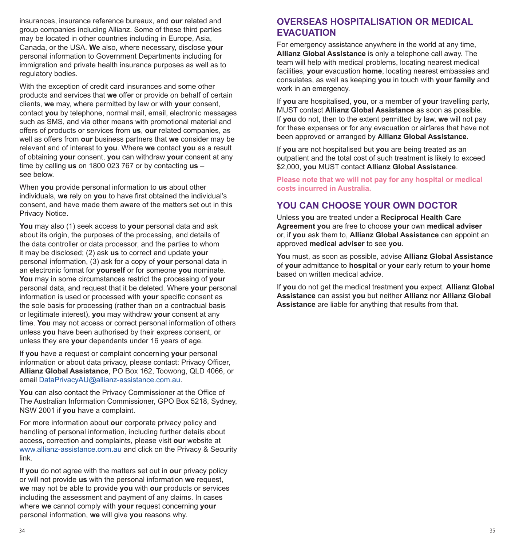insurances, insurance reference bureaux, and **our** related and group companies including Allianz. Some of these third parties may be located in other countries including in Europe, Asia, Canada, or the USA. **We** also, where necessary, disclose **your** personal information to Government Departments including for immigration and private health insurance purposes as well as to regulatory bodies.

With the exception of credit card insurances and some other products and services that **we** offer or provide on behalf of certain clients, **we** may, where permitted by law or with **your** consent, contact **you** by telephone, normal mail, email, electronic messages such as SMS, and via other means with promotional material and offers of products or services from **us**, **our** related companies, as well as offers from **our** business partners that **we** consider may be relevant and of interest to **you**. Where **we** contact **you** as a result of obtaining **your** consent, **you** can withdraw **your** consent at any time by calling **us** on 1800 023 767 or by contacting **us** – see below.

When **you** provide personal information to **us** about other individuals, **we** rely on **you** to have first obtained the individual's consent, and have made them aware of the matters set out in this Privacy Notice.

**You** may also (1) seek access to **your** personal data and ask about its origin, the purposes of the processing, and details of the data controller or data processor, and the parties to whom it may be disclosed; (2) ask **us** to correct and update **your** personal information, (3) ask for a copy of **your** personal data in an electronic format for **yourself** or for someone **you** nominate. **You** may in some circumstances restrict the processing of **your** personal data, and request that it be deleted. Where **your** personal information is used or processed with **your** specific consent as the sole basis for processing (rather than on a contractual basis or legitimate interest), **you** may withdraw **your** consent at any time. **You** may not access or correct personal information of others unless **you** have been authorised by their express consent, or unless they are **your** dependants under 16 years of age.

If **you** have a request or complaint concerning **your** personal information or about data privacy, please contact: Privacy Officer, **Allianz Global Assistance**, PO Box 162, Toowong, QLD 4066, or email DataPrivacyAU@allianz-assistance.com.au.

**You** can also contact the Privacy Commissioner at the Office of The Australian Information Commissioner, GPO Box 5218, Sydney, NSW 2001 if **you** have a complaint.

For more information about **our** corporate privacy policy and handling of personal information, including further details about access, correction and complaints, please visit **our** website at www.allianz-assistance.com.au and click on the Privacy & Security link.

If **you** do not agree with the matters set out in **our** privacy policy or will not provide **us** with the personal information **we** request, **we** may not be able to provide **you** with **our** products or services including the assessment and payment of any claims. In cases where **we** cannot comply with **your** request concerning **your** personal information, **we** will give **you** reasons why.

# **OVERSEAS HOSPITALISATION OR MEDICAL EVACUATION**

For emergency assistance anywhere in the world at any time, **Allianz Global Assistance** is only a telephone call away. The team will help with medical problems, locating nearest medical facilities, **your** evacuation **home**, locating nearest embassies and consulates, as well as keeping **you** in touch with **your family** and work in an emergency.

If **you** are hospitalised, **you**, or a member of **your** travelling party, MUST contact **Allianz Global Assistance** as soon as possible. If **you** do not, then to the extent permitted by law, **we** will not pay for these expenses or for any evacuation or airfares that have not been approved or arranged by **Allianz Global Assistance**.

If **you** are not hospitalised but **you** are being treated as an outpatient and the total cost of such treatment is likely to exceed \$2,000, **you** MUST contact **Allianz Global Assistance**.

**Please note that we will not pay for any hospital or medical costs incurred in Australia.**

# **YOU CAN CHOOSE YOUR OWN DOCTOR**

Unless **you** are treated under a **Reciprocal Health Care Agreement you** are free to choose **your** own **medical adviser** or, if **you** ask them to, **Allianz Global Assistance** can appoint an approved **medical adviser** to see **you**.

**You** must, as soon as possible, advise **Allianz Global Assistance** of **your** admittance to **hospital** or **your** early return to **your home** based on written medical advice.

If **you** do not get the medical treatment **you** expect, **Allianz Global Assistance** can assist **you** but neither **Allianz** nor **Allianz Global Assistance** are liable for anything that results from that.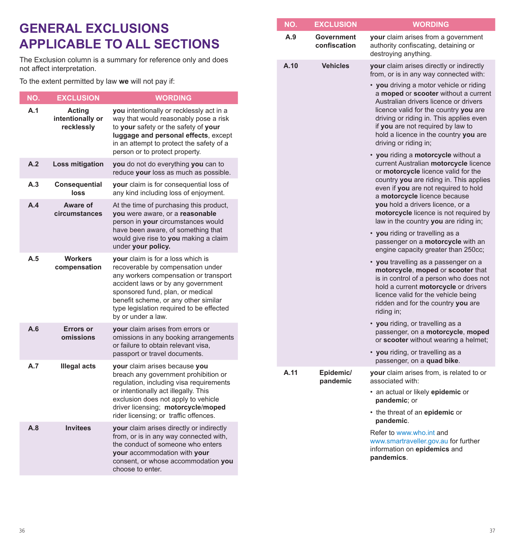# **GENERAL EXCLUSIONS APPLICABLE TO ALL SECTIONS**

The Exclusion column is a summary for reference only and does not affect interpretation.

To the extent permitted by law **we** will not pay if:

| NO. | <b>EXCLUSION</b>                         | <b>WORDING</b>                                                                                                                                                                                                                                                                                      |
|-----|------------------------------------------|-----------------------------------------------------------------------------------------------------------------------------------------------------------------------------------------------------------------------------------------------------------------------------------------------------|
| A.1 | Acting<br>intentionally or<br>recklessly | you intentionally or recklessly act in a<br>way that would reasonably pose a risk<br>to your safety or the safety of your<br>luggage and personal effects, except<br>in an attempt to protect the safety of a<br>person or to protect property.                                                     |
| A.2 | Loss mitigation                          | you do not do everything you can to<br>reduce your loss as much as possible.                                                                                                                                                                                                                        |
| A.3 | Consequential<br>loss                    | your claim is for consequential loss of<br>any kind including loss of enjoyment.                                                                                                                                                                                                                    |
| A.4 | Aware of<br>circumstances                | At the time of purchasing this product,<br>you were aware, or a reasonable<br>person in your circumstances would<br>have been aware, of something that<br>would give rise to you making a claim<br>under your policy.                                                                               |
| A.5 | <b>Workers</b><br>compensation           | your claim is for a loss which is<br>recoverable by compensation under<br>any workers compensation or transport<br>accident laws or by any government<br>sponsored fund, plan, or medical<br>benefit scheme, or any other similar<br>type legislation required to be effected<br>by or under a law. |
| A.6 | Errors or<br>omissions                   | your claim arises from errors or<br>omissions in any booking arrangements<br>or failure to obtain relevant visa,<br>passport or travel documents.                                                                                                                                                   |
| A.7 | <b>Illegal acts</b>                      | your claim arises because you<br>breach any government prohibition or<br>regulation, including visa requirements<br>or intentionally act illegally. This<br>exclusion does not apply to vehicle<br>driver licensing; motorcycle/moped<br>rider licensing; or traffic offences.                      |
| A.8 | <b>Invitees</b>                          | your claim arises directly or indirectly<br>from, or is in any way connected with,<br>the conduct of someone who enters<br>your accommodation with your<br>consent, or whose accommodation you<br>choose to enter.                                                                                  |

| NO.                     | <b>EXCLUSION</b>           | <b>WORDING</b>                                                                                                                                                                                                                                                                                                                                                                                            |
|-------------------------|----------------------------|-----------------------------------------------------------------------------------------------------------------------------------------------------------------------------------------------------------------------------------------------------------------------------------------------------------------------------------------------------------------------------------------------------------|
| A.9                     | Government<br>confiscation | your claim arises from a government<br>authority confiscating, detaining or<br>destroying anything.                                                                                                                                                                                                                                                                                                       |
| A.10<br><b>Vehicles</b> |                            | your claim arises directly or indirectly<br>from, or is in any way connected with:<br>• you driving a motor vehicle or riding<br>a moped or scooter without a current<br>Australian drivers licence or drivers<br>licence valid for the country you are<br>driving or riding in. This applies even<br>if you are not required by law to<br>hold a licence in the country you are<br>driving or riding in; |
|                         |                            | • you riding a motorcycle without a<br>current Australian motorcycle licence<br>or motorcycle licence valid for the<br>country you are riding in. This applies<br>even if you are not required to hold<br>a motorcycle licence because<br>you hold a drivers licence, or a<br>motorcycle licence is not required by<br>law in the country you are riding in;                                              |
|                         |                            | • you riding or travelling as a<br>passenger on a motorcycle with an<br>engine capacity greater than 250cc;                                                                                                                                                                                                                                                                                               |
|                         |                            | • you travelling as a passenger on a<br>motorcycle, moped or scooter that<br>is in control of a person who does not<br>hold a current motorcycle or drivers<br>licence valid for the vehicle being<br>ridden and for the country you are<br>riding in;                                                                                                                                                    |
|                         |                            | • you riding, or travelling as a<br>passenger, on a motorcycle, moped<br>or scooter without wearing a helmet;<br>• you riding, or travelling as a                                                                                                                                                                                                                                                         |
|                         |                            | passenger, on a quad bike.                                                                                                                                                                                                                                                                                                                                                                                |
| A.11                    | Epidemic/<br>pandemic      | your claim arises from, is related to or<br>associated with:<br>· an actual or likely epidemic or<br>pandemic; or<br>• the threat of an epidemic or<br>pandemic.                                                                                                                                                                                                                                          |
|                         |                            | Refer to www.who.int and<br>www.smartraveller.gov.au for further<br>information on epidemics and<br>pandemics.                                                                                                                                                                                                                                                                                            |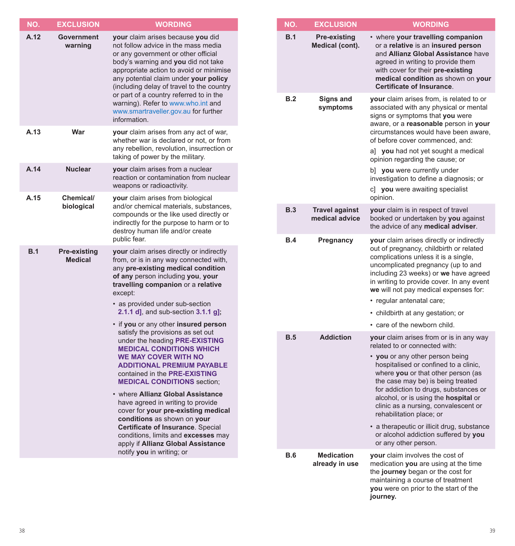| NO.  | <b>EXCLUSION</b>               | <b>WORDING</b>                                                                                                                                                                                                                                                                                                                                                                                                                   |
|------|--------------------------------|----------------------------------------------------------------------------------------------------------------------------------------------------------------------------------------------------------------------------------------------------------------------------------------------------------------------------------------------------------------------------------------------------------------------------------|
| A.12 | Government<br>warning          | your claim arises because you did<br>not follow advice in the mass media<br>or any government or other official<br>body's warning and you did not take<br>appropriate action to avoid or minimise<br>any potential claim under your policy<br>(including delay of travel to the country<br>or part of a country referred to in the<br>warning). Refer to www.who.int and<br>www.smartraveller.gov.au for further<br>information. |
| A.13 | War                            | your claim arises from any act of war,<br>whether war is declared or not, or from<br>any rebellion, revolution, insurrection or<br>taking of power by the military.                                                                                                                                                                                                                                                              |
| A.14 | <b>Nuclear</b>                 | <b>your</b> claim arises from a nuclear<br>reaction or contamination from nuclear<br>weapons or radioactivity.                                                                                                                                                                                                                                                                                                                   |
| A.15 | Chemical/<br>biological        | your claim arises from biological<br>and/or chemical materials, substances,<br>compounds or the like used directly or<br>indirectly for the purpose to harm or to<br>destroy human life and/or create<br>public fear.                                                                                                                                                                                                            |
| B.1  | Pre-existing<br><b>Medical</b> | your claim arises directly or indirectly<br>from, or is in any way connected with,<br>any pre-existing medical condition<br>of any person including you, your<br>travelling companion or a relative<br>except:<br>• as provided under sub-section                                                                                                                                                                                |
|      |                                | 2.1.1 $d$ ], and sub-section 3.1.1 $g$ ];                                                                                                                                                                                                                                                                                                                                                                                        |
|      |                                | • if you or any other insured person<br>satisfy the provisions as set out<br>under the heading PRE-EXISTING<br><b>MEDICAL CONDITIONS WHICH</b><br><b>WE MAY COVER WITH NO</b><br><b>ADDITIONAL PREMIUM PAYABLE</b><br>contained in the PRE-EXISTING<br><b>MEDICAL CONDITIONS section:</b>                                                                                                                                        |
|      |                                | • where Allianz Global Assistance<br>have agreed in writing to provide<br>cover for your pre-existing medical<br>conditions as shown on your<br>Certificate of Insurance. Special<br>conditions, limits and excesses may<br>apply if Allianz Global Assistance<br>notify you in writing; or                                                                                                                                      |
|      |                                |                                                                                                                                                                                                                                                                                                                                                                                                                                  |

| NO.        | <b>EXCLUSION</b>                        | WORDING                                                                                                                                                                                                                                                                                                                                                                                                                                                                                            |
|------------|-----------------------------------------|----------------------------------------------------------------------------------------------------------------------------------------------------------------------------------------------------------------------------------------------------------------------------------------------------------------------------------------------------------------------------------------------------------------------------------------------------------------------------------------------------|
| B.1        | <b>Pre-existing</b><br>Medical (cont).  | • where your travelling companion<br>or a relative is an insured person<br>and Allianz Global Assistance have<br>agreed in writing to provide them<br>with cover for their pre-existing<br>medical condition as shown on your<br><b>Certificate of Insurance.</b>                                                                                                                                                                                                                                  |
| B.2        | Signs and<br>symptoms                   | your claim arises from, is related to or<br>associated with any physical or mental<br>signs or symptoms that you were<br>aware, or a reasonable person in your<br>circumstances would have been aware,<br>of before cover commenced, and:<br>a] you had not yet sought a medical<br>opinion regarding the cause; or<br>b] you were currently under<br>investigation to define a diagnosis; or<br>c] you were awaiting specialist<br>opinion.                                                       |
| B.3        | <b>Travel against</b><br>medical advice | your claim is in respect of travel<br>booked or undertaken by you against<br>the advice of any medical adviser.                                                                                                                                                                                                                                                                                                                                                                                    |
| B.4        | Pregnancy                               | your claim arises directly or indirectly<br>out of pregnancy, childbirth or related<br>complications unless it is a single,<br>uncomplicated pregnancy (up to and<br>including 23 weeks) or we have agreed<br>in writing to provide cover. In any event<br>we will not pay medical expenses for:<br>· regular antenatal care;<br>• childbirth at any gestation; or<br>• care of the newborn child.                                                                                                 |
| B.5        | <b>Addiction</b>                        | your claim arises from or is in any way<br>related to or connected with:<br>• you or any other person being<br>hospitalised or confined to a clinic,<br>where you or that other person (as<br>the case may be) is being treated<br>for addiction to drugs, substances or<br>alcohol, or is using the hospital or<br>clinic as a nursing, convalescent or<br>rehabilitation place; or<br>• a therapeutic or illicit drug, substance<br>or alcohol addiction suffered by you<br>or any other person. |
| <b>B.6</b> | <b>Medication</b><br>already in use     | your claim involves the cost of<br>medication you are using at the time<br>the journey began or the cost for<br>maintaining a course of treatment<br>you were on prior to the start of the<br>journey.                                                                                                                                                                                                                                                                                             |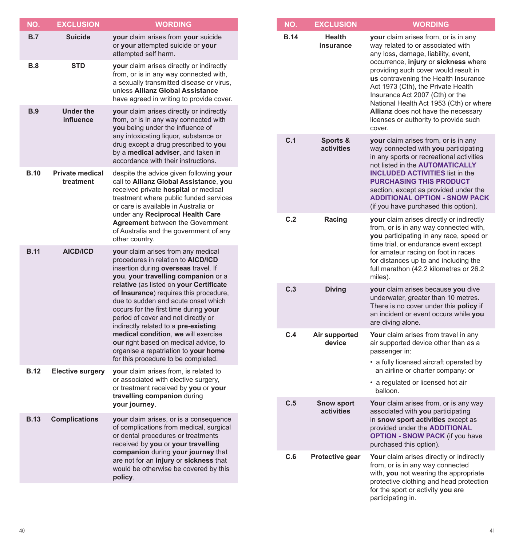| NO.         | <b>EXCLUSION</b>                    | <b>WORDING</b>                                                                                                                                                                                                                                                                                                                                                                                                                                                                                                                                                             |
|-------------|-------------------------------------|----------------------------------------------------------------------------------------------------------------------------------------------------------------------------------------------------------------------------------------------------------------------------------------------------------------------------------------------------------------------------------------------------------------------------------------------------------------------------------------------------------------------------------------------------------------------------|
| B.7         | <b>Suicide</b>                      | your claim arises from your suicide<br>or your attempted suicide or your<br>attempted self harm.                                                                                                                                                                                                                                                                                                                                                                                                                                                                           |
| <b>B.8</b>  | <b>STD</b>                          | your claim arises directly or indirectly<br>from, or is in any way connected with,<br>a sexually transmitted disease or virus,<br>unless Allianz Global Assistance<br>have agreed in writing to provide cover.                                                                                                                                                                                                                                                                                                                                                             |
| <b>B.9</b>  | <b>Under the</b><br>influence       | your claim arises directly or indirectly<br>from, or is in any way connected with<br>you being under the influence of<br>any intoxicating liquor, substance or<br>drug except a drug prescribed to you<br>by a medical adviser, and taken in<br>accordance with their instructions.                                                                                                                                                                                                                                                                                        |
| <b>B.10</b> | <b>Private medical</b><br>treatment | despite the advice given following your<br>call to Allianz Global Assistance, you<br>received private hospital or medical<br>treatment where public funded services<br>or care is available in Australia or<br>under any Reciprocal Health Care<br><b>Agreement</b> between the Government<br>of Australia and the government of any<br>other country.                                                                                                                                                                                                                     |
| <b>B.11</b> | <b>AICD/ICD</b>                     | your claim arises from any medical<br>procedures in relation to AICD/ICD<br>insertion during overseas travel. If<br>you, your travelling companion or a<br>relative (as listed on your Certificate<br>of Insurance) requires this procedure,<br>due to sudden and acute onset which<br>occurs for the first time during your<br>period of cover and not directly or<br>indirectly related to a pre-existing<br>medical condition, we will exercise<br>our right based on medical advice, to<br>organise a repatriation to your home<br>for this procedure to be completed. |
| <b>B.12</b> | <b>Elective surgery</b>             | your claim arises from, is related to<br>or associated with elective surgery,<br>or treatment received by you or your<br>travelling companion during<br>your journey.                                                                                                                                                                                                                                                                                                                                                                                                      |
| <b>B.13</b> | <b>Complications</b>                | your claim arises, or is a consequence<br>of complications from medical, surgical<br>or dental procedures or treatments<br>received by you or your travelling<br>companion during your journey that<br>are not for an injury or sickness that<br>would be otherwise be covered by this<br>policy.                                                                                                                                                                                                                                                                          |

| NO.         | <b>EXCLUSION</b>                | <b>WORDING</b>                                                                                                                                                                                                                                                                                                                                                                                                                                         |
|-------------|---------------------------------|--------------------------------------------------------------------------------------------------------------------------------------------------------------------------------------------------------------------------------------------------------------------------------------------------------------------------------------------------------------------------------------------------------------------------------------------------------|
| <b>B.14</b> | Health<br>insurance             | your claim arises from, or is in any<br>way related to or associated with<br>any loss, damage, liability, event,<br>occurrence, injury or sickness where<br>providing such cover would result in<br>us contravening the Health Insurance<br>Act 1973 (Cth), the Private Health<br>Insurance Act 2007 (Cth) or the<br>National Health Act 1953 (Cth) or where<br>Allianz does not have the necessary<br>licenses or authority to provide such<br>cover. |
| C.1         | Sports &<br>activities          | your claim arises from, or is in any<br>way connected with you participating<br>in any sports or recreational activities<br>not listed in the <b>AUTOMATICALLY</b><br><b>INCLUDED ACTIVITIES list in the</b><br><b>PURCHASING THIS PRODUCT</b><br>section, except as provided under the<br><b>ADDITIONAL OPTION - SNOW PACK</b><br>(if you have purchased this option).                                                                                |
| C.2         | Racing                          | your claim arises directly or indirectly<br>from, or is in any way connected with,<br>you participating in any race, speed or<br>time trial, or endurance event except<br>for amateur racing on foot in races<br>for distances up to and including the<br>full marathon (42.2 kilometres or 26.2<br>miles).                                                                                                                                            |
| C.3         | <b>Diving</b>                   | your claim arises because you dive<br>underwater, greater than 10 metres.<br>There is no cover under this policy if<br>an incident or event occurs while you<br>are diving alone.                                                                                                                                                                                                                                                                      |
| C.4         | Air supported<br>device         | Your claim arises from travel in any<br>air supported device other than as a<br>passenger in:<br>• a fully licensed aircraft operated by<br>an airline or charter company: or<br>• a regulated or licensed hot air<br>balloon.                                                                                                                                                                                                                         |
| C.5         | <b>Snow sport</b><br>activities | Your claim arises from, or is any way<br>associated with you participating<br>in snow sport activities except as<br>provided under the <b>ADDITIONAL</b><br><b>OPTION - SNOW PACK (if you have</b><br>purchased this option).                                                                                                                                                                                                                          |
| C.6         | Protective gear                 | Your claim arises directly or indirectly<br>from, or is in any way connected<br>with, you not wearing the appropriate<br>protective clothing and head protection<br>for the sport or activity you are<br>participating in.                                                                                                                                                                                                                             |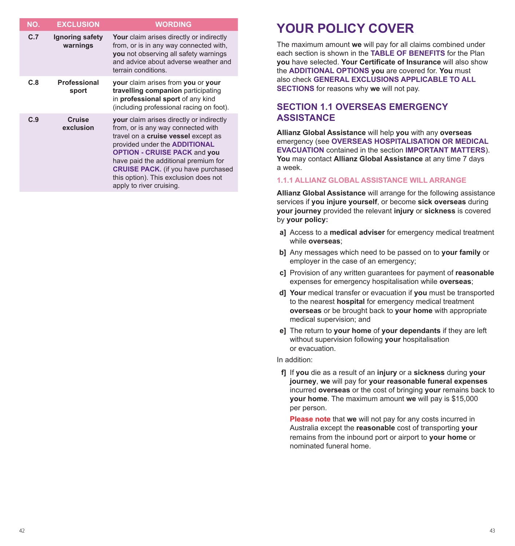| NO. | <b>EXCLUSION</b>            | <b>WORDING</b>                                                                                                                                                                                                                                                                                                                                                  |
|-----|-----------------------------|-----------------------------------------------------------------------------------------------------------------------------------------------------------------------------------------------------------------------------------------------------------------------------------------------------------------------------------------------------------------|
| C.7 | Ignoring safety<br>warnings | Your claim arises directly or indirectly<br>from, or is in any way connected with,<br>you not observing all safety warnings<br>and advice about adverse weather and<br>terrain conditions.                                                                                                                                                                      |
| C.8 | Professional<br>sport       | your claim arises from you or your<br>travelling companion participating<br>in professional sport of any kind<br>(including professional racing on foot).                                                                                                                                                                                                       |
| C.9 | Cruise<br>exclusion         | your claim arises directly or indirectly<br>from, or is any way connected with<br>travel on a cruise vessel except as<br>provided under the <b>ADDITIONAL</b><br><b>OPTION - CRUISE PACK and you</b><br>have paid the additional premium for<br><b>CRUISE PACK.</b> (if you have purchased<br>this option). This exclusion does not<br>apply to river cruising. |

# **YOUR POLICY COVER**

The maximum amount **we** will pay for all claims combined under each section is shown in the **TABLE OF BENEFITS** for the Plan **you** have selected. **Your Certificate of Insurance** will also show the **ADDITIONAL OPTIONS you** are covered for. **You** must also check **GENERAL EXCLUSIONS APPLICABLE TO ALL SECTIONS** for reasons why **we** will not pay.

# **SECTION 1.1 OVERSEAS EMERGENCY ASSISTANCE**

**Allianz Global Assistance** will help **you** with any **overseas** emergency (see **OVERSEAS HOSPITALISATION OR MEDICAL EVACUATION** contained in the section **IMPORTANT MATTERS**). **You** may contact **Allianz Global Assistance** at any time 7 days a week.

#### **1.1.1 ALLIANZ GLOBAL ASSISTANCE WILL ARRANGE**

**Allianz Global Assistance** will arrange for the following assistance services if **you injure yourself**, or become **sick overseas** during **your journey** provided the relevant **injury** or **sickness** is covered by **your policy:**

- **a]** Access to a **medical adviser** for emergency medical treatment while **overseas**;
- **b]** Any messages which need to be passed on to **your family** or employer in the case of an emergency;
- **c]** Provision of any written guarantees for payment of **reasonable** expenses for emergency hospitalisation while **overseas**;
- **d] Your** medical transfer or evacuation if **you** must be transported to the nearest **hospital** for emergency medical treatment **overseas** or be brought back to **your home** with appropriate medical supervision; and
- **e]** The return to **your home** of **your dependants** if they are left without supervision following **your** hospitalisation or evacuation.

In addition:

**f]** If **you** die as a result of an **injury** or a **sickness** during **your journey**, **we** will pay for **your reasonable funeral expenses** incurred **overseas** or the cost of bringing **your** remains back to **your home**. The maximum amount **we** will pay is \$15,000 per person.

**Please note** that **we** will not pay for any costs incurred in Australia except the **reasonable** cost of transporting **your** remains from the inbound port or airport to **your home** or nominated funeral home.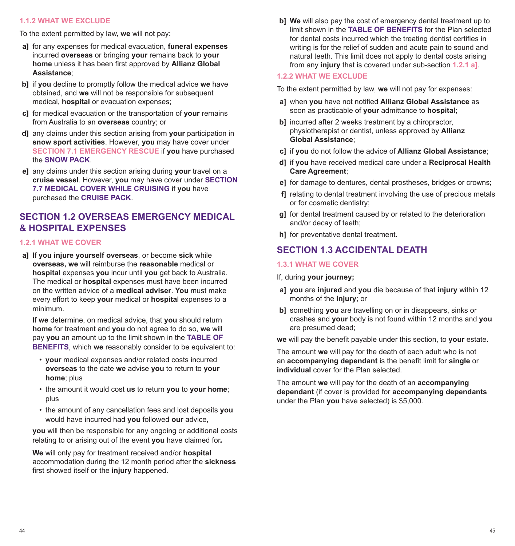#### **1.1.2 WHAT WE EXCLUDE**

To the extent permitted by law, **we** will not pay:

- **a]** for any expenses for medical evacuation, **funeral expenses** incurred **overseas** or bringing **your** remains back to **your home** unless it has been first approved by **Allianz Global Assistance**;
- **b]** if **you** decline to promptly follow the medical advice **we** have obtained, and **we** will not be responsible for subsequent medical, **hospital** or evacuation expenses;
- **c]** for medical evacuation or the transportation of **your** remains from Australia to an **overseas** country; or
- **d]** any claims under this section arising from **your** participation in **snow sport activities**. However, **you** may have cover under **SECTION 7.1 EMERGENCY RESCUE** if **you** have purchased the **SNOW PACK**.
- **e]** any claims under this section arising during **your** travel on a **cruise vessel**. However, **you** may have cover under **SECTION 7.7 MEDICAL COVER WHILE CRUISING** if **you** have purchased the **CRUISE PACK**.

# **SECTION 1.2 OVERSEAS EMERGENCY MEDICAL & HOSPITAL EXPENSES**

#### **1.2.1 WHAT WE COVER**

**a]** If **you injure yourself overseas**, or become **sick** while **overseas, we** will reimburse the **reasonable** medical or **hospital** expenses **you** incur until **you** get back to Australia. The medical or **hospital** expenses must have been incurred on the written advice of a **medical adviser**. **You** must make every effort to keep **your** medical or **hospita**l expenses to a minimum.

If **we** determine, on medical advice, that **you** should return **home** for treatment and **you** do not agree to do so, **we** will pay **you** an amount up to the limit shown in the **TABLE OF BENEFITS**, which we reasonably consider to be equivalent to:

- **your** medical expenses and/or related costs incurred **overseas** to the date **we** advise **you** to return to **your home**; plus
- the amount it would cost **us** to return **you** to **your home**; plus
- the amount of any cancellation fees and lost deposits **you** would have incurred had **you** followed **our** advice,

**you** will then be responsible for any ongoing or additional costs relating to or arising out of the event **you** have claimed for.

**We** will only pay for treatment received and/or **hospital** accommodation during the 12 month period after the **sickness** first showed itself or the **injury** happened.

**b] We** will also pay the cost of emergency dental treatment up to limit shown in the **TABLE OF BENEFITS** for the Plan selected for dental costs incurred which the treating dentist certifies in writing is for the relief of sudden and acute pain to sound and natural teeth. This limit does not apply to dental costs arising from any **injury** that is covered under sub-section **1.2.1 a]**.

#### **1.2.2 WHAT WE EXCLUDE**

To the extent permitted by law, **we** will not pay for expenses:

- **a]** when **you** have not notified **Allianz Global Assistance** as soon as practicable of **your** admittance to **hospital**;
- **bI** incurred after 2 weeks treatment by a chiropractor, physiotherapist or dentist, unless approved by **Allianz Global Assistance**;
- **c]** if **you** do not follow the advice of **Allianz Global Assistance**;
- **d]** if **you** have received medical care under a **Reciprocal Health Care Agreement**;
- **e]** for damage to dentures, dental prostheses, bridges or crowns;
- **f]** relating to dental treatment involving the use of precious metals or for cosmetic dentistry;
- **g]** for dental treatment caused by or related to the deterioration and/or decay of teeth;
- **h]** for preventative dental treatment.

# **SECTION 1.3 ACCIDENTAL DEATH**

#### **1.3.1 WHAT WE COVER**

If, during **your journey;**

- **a] you** are **injured** and **you** die because of that **injury** within 12 months of the **injury**; or
- **b]** something **you** are travelling on or in disappears, sinks or crashes and **your** body is not found within 12 months and **you** are presumed dead;

**we** will pay the benefit payable under this section, to **your** estate.

The amount **we** will pay for the death of each adult who is not an **accompanying dependant** is the benefit limit for **single** or **individual** cover for the Plan selected.

The amount **we** will pay for the death of an **accompanying dependant** (if cover is provided for **accompanying dependants** under the Plan **you** have selected) is \$5,000.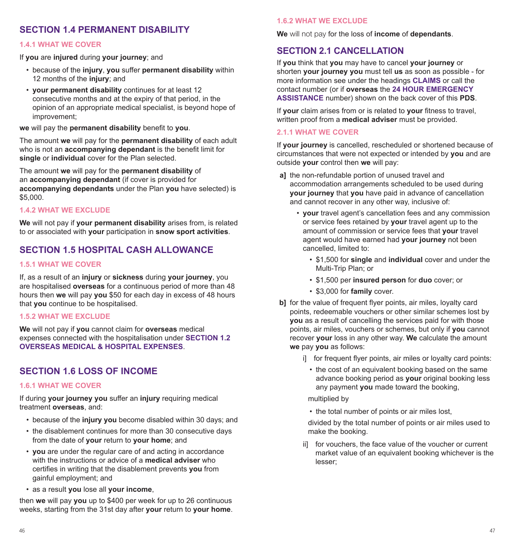# **SECTION 1.4 PERMANENT DISABILITY**

#### **1.4.1 WHAT WE COVER**

If **you** are **injured** during **your journey**; and

- because of the **injury**, **you** suffer **permanent disability** within 12 months of the **injury**; and
- **your permanent disability** continues for at least 12 consecutive months and at the expiry of that period, in the opinion of an appropriate medical specialist, is beyond hope of improvement;

**we** will pay the **permanent disability** benefit to **you**.

The amount **we** will pay for the **permanent disability** of each adult who is not an **accompanying dependant** is the benefit limit for **single** or **individual** cover for the Plan selected.

The amount **we** will pay for the **permanent disability** of an **accompanying dependant** (if cover is provided for **accompanying dependants** under the Plan **you** have selected) is \$5,000.

#### **1.4.2 WHAT WE EXCLUDE**

**We** will not pay if **your permanent disability** arises from, is related to or associated with **your** participation in **snow sport activities**.

# **SECTION 1.5 HOSPITAL CASH ALLOWANCE**

#### **1.5.1 WHAT WE COVER**

If, as a result of an **injury** or **sickness** during **your journey**, you are hospitalised **overseas** for a continuous period of more than 48 hours then **we** will pay **you** \$50 for each day in excess of 48 hours that **you** continue to be hospitalised.

#### **1.5.2 WHAT WE EXCLUDE**

**We** will not pay if **you** cannot claim for **overseas** medical expenses connected with the hospitalisation under **SECTION 1.2 OVERSEAS MEDICAL & HOSPITAL EXPENSES**.

# **SECTION 1.6 LOSS OF INCOME**

#### **1.6.1 WHAT WE COVER**

If during **your journey you** suffer an **injury** requiring medical treatment **overseas**, and:

- because of the **injury you** become disabled within 30 days; and
- the disablement continues for more than 30 consecutive days from the date of **your** return to **your home**; and
- **you** are under the regular care of and acting in accordance with the instructions or advice of a **medical adviser** who certifies in writing that the disablement prevents **you** from gainful employment; and
- as a result **you** lose all **your income**,

then **we** will pay **you** up to \$400 per week for up to 26 continuous weeks, starting from the 31st day after **your** return to **your home**.

#### **1.6.2 WHAT WE EXCLUDE**

**We** will not pay for the loss of **income** of **dependants**.

### **SECTION 2.1 CANCELLATION**

If **you** think that **you** may have to cancel **your journey** or shorten **your journey you** must tell **us** as soon as possible - for more information see under the headings **CLAIMS** or call the contact number (or if **overseas** the **24 HOUR EMERGENCY ASSISTANCE** number) shown on the back cover of this **PDS**.

If **your** claim arises from or is related to **your** fitness to travel, written proof from a **medical adviser** must be provided.

#### **2.1.1 WHAT WE COVER**

If **your journey** is cancelled, rescheduled or shortened because of circumstances that were not expected or intended by **you** and are outside **your** control then **we** will pay:

- **a]** the non-refundable portion of unused travel and accommodation arrangements scheduled to be used during **your journey** that **you** have paid in advance of cancellation and cannot recover in any other way, inclusive of:
	- **your** travel agent's cancellation fees and any commission or service fees retained by **your** travel agent up to the amount of commission or service fees that **your** travel agent would have earned had **your journey** not been cancelled, limited to:
		- \$1,500 for **single** and **individual** cover and under the Multi-Trip Plan; or
		- \$1,500 per **insured person** for **duo** cover; or
		- \$3,000 for **family** cover.
- **b**] for the value of frequent flyer points, air miles, loyalty card points, redeemable vouchers or other similar schemes lost by **you** as a result of cancelling the services paid for with those points, air miles, vouchers or schemes, but only if **you** cannot recover **your** loss in any other way. **We** calculate the amount **we** pay **you** as follows:
	- i] for frequent flyer points, air miles or loyalty card points:
		- the cost of an equivalent booking based on the same advance booking period as **your** original booking less any payment **you** made toward the booking,

multiplied by

• the total number of points or air miles lost,

divided by the total number of points or air miles used to make the booking.

ii] for vouchers, the face value of the voucher or current market value of an equivalent booking whichever is the lesser;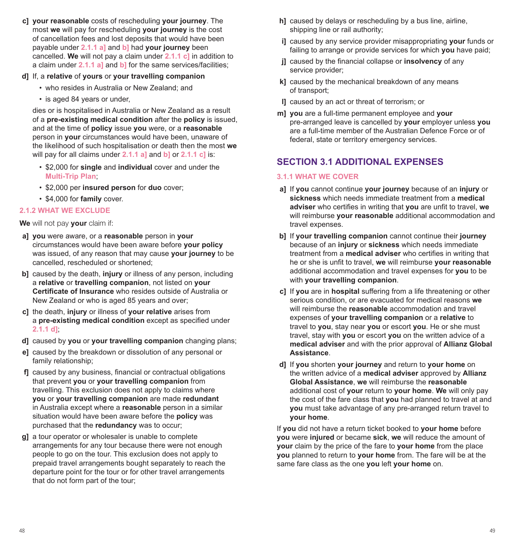**c] your reasonable** costs of rescheduling **your journey**. The most **we** will pay for rescheduling **your journey** is the cost of cancellation fees and lost deposits that would have been payable under **2.1.1 a]** and **b]** had **your journey** been cancelled. **We** will not pay a claim under **2.1.1 c]** in addition to a claim under **2.1.1 a]** and **b]** for the same services/facilities;

#### **d]** If, a **relative** of **yours** or **your travelling companion**

- who resides in Australia or New Zealand; and
- is aged 84 years or under,

dies or is hospitalised in Australia or New Zealand as a result of a **pre-existing medical condition** after the **policy** is issued, and at the time of **policy** issue **you** were, or a **reasonable** person in **your** circumstances would have been, unaware of the likelihood of such hospitalisation or death then the most **we** will pay for all claims under **2.1.1 a]** and **b]** or **2.1.1 c]** is:

- \$2,000 for **single** and **individual** cover and under the **Multi-Trip Plan**;
- \$2,000 per **insured person** for **duo** cover;
- \$4,000 for **family** cover.

#### **2.1.2 WHAT WE EXCLUDE**

#### **We** will not pay **your** claim if:

- **a] you** were aware, or a **reasonable** person in **your** circumstances would have been aware before **your policy** was issued, of any reason that may cause **your journey** to be cancelled, rescheduled or shortened;
- **b]** caused by the death, **injury** or illness of any person, including a **relative** or **travelling companion**, not listed on **your Certificate of Insurance** who resides outside of Australia or New Zealand or who is aged 85 years and over;
- **c]** the death, **injury** or illness of **your relative** arises from a **pre-existing medical condition** except as specified under **2.1.1 d]**;
- **d]** caused by **you** or **your travelling companion** changing plans;
- **e]** caused by the breakdown or dissolution of any personal or family relationship;
- **f]** caused by any business, financial or contractual obligations that prevent **you** or **your travelling companion** from travelling. This exclusion does not apply to claims where **you** or **your travelling companion** are made **redundant** in Australia except where a **reasonable** person in a similar situation would have been aware before the **policy** was purchased that the **redundancy** was to occur;
- **g]** a tour operator or wholesaler is unable to complete arrangements for any tour because there were not enough people to go on the tour. This exclusion does not apply to prepaid travel arrangements bought separately to reach the departure point for the tour or for other travel arrangements that do not form part of the tour;
- **h]** caused by delays or rescheduling by a bus line, airline, shipping line or rail authority;
- **i]** caused by any service provider misappropriating **your** funds or failing to arrange or provide services for which **you** have paid;
- **j]** caused by the financial collapse or **insolvency** of any service provider;
- **k]** caused by the mechanical breakdown of any means of transport;
- **l]** caused by an act or threat of terrorism; or
- **m] you** are a full-time permanent employee and **your** pre-arranged leave is cancelled by **your** employer unless **you** are a full-time member of the Australian Defence Force or of federal, state or territory emergency services.

# **SECTION 3.1 ADDITIONAL EXPENSES**

#### **3.1.1 WHAT WE COVER**

- **a]** If **you** cannot continue **your journey** because of an **injury** or **sickness** which needs immediate treatment from a **medical adviser** who certifies in writing that **you** are unfit to travel, **we** will reimburse **your reasonable** additional accommodation and travel expenses.
- **b]** If **your travelling companion** cannot continue their **journey** because of an **injury** or **sickness** which needs immediate treatment from a **medical adviser** who certifies in writing that he or she is unfit to travel, **we** will reimburse **your reasonable** additional accommodation and travel expenses for **you** to be with **your travelling companion**.
- **c]** If **you** are in **hospital** suffering from a life threatening or other serious condition, or are evacuated for medical reasons **we** will reimburse the **reasonable** accommodation and travel expenses of **your travelling companion** or a **relative** to travel to **you**, stay near **you** or escort **you**. He or she must travel, stay with **you** or escort **you** on the written advice of a **medical adviser** and with the prior approval of **Allianz Global Assistance**.
- **d]** If **you** shorten **your journey** and return to **your home** on the written advice of a **medical adviser** approved by **Allianz Global Assistance**, **we** will reimburse the **reasonable** additional cost of **your** return to **your home**. **We** will only pay the cost of the fare class that **you** had planned to travel at and **you** must take advantage of any pre-arranged return travel to **your home**.

If **you** did not have a return ticket booked to **your home** before **you** were **injured** or became **sick**, **we** will reduce the amount of **your** claim by the price of the fare to **your home** from the place **you** planned to return to **your home** from. The fare will be at the same fare class as the one **you** left **your home** on.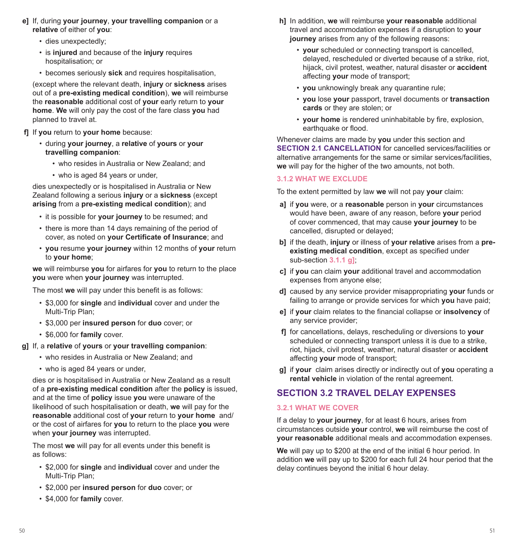- **e]** If, during **your journey**, **your travelling companion** or a **relative** of either of **you**:
	- dies unexpectedly;
	- is **injured** and because of the **injury** requires hospitalisation; or
	- becomes seriously **sick** and requires hospitalisation,

(except where the relevant death, **injury** or **sickness** arises out of a **pre-existing medical condition**), **we** will reimburse the **reasonable** additional cost of **your** early return to **your home**. **We** will only pay the cost of the fare class **you** had planned to travel at.

- **f]** If **you** return to **your home** because:
	- during **your journey**, a **relative** of **yours** or **your travelling companion**:
		- who resides in Australia or New Zealand; and
		- who is aged 84 years or under,

dies unexpectedly or is hospitalised in Australia or New Zealand following a serious **injury** or a **sickness** (except **arising** from a **pre-existing medical condition**); and

- it is possible for **your journey** to be resumed; and
- there is more than 14 days remaining of the period of cover, as noted on **your Certificate of Insurance**; and
- **you** resume **your journey** within 12 months of **your** return to **your home**;

**we** will reimburse **you** for airfares for **you** to return to the place **you** were when **your journey** was interrupted.

The most **we** will pay under this benefit is as follows:

- \$3,000 for **single** and **individual** cover and under the Multi-Trip Plan;
- \$3,000 per **insured person** for **duo** cover; or
- \$6,000 for **family** cover.

#### **g]** If, a **relative** of **yours** or **your travelling companion**:

- who resides in Australia or New Zealand; and
- who is aged 84 years or under,

dies or is hospitalised in Australia or New Zealand as a result of a **pre-existing medical condition** after the **policy** is issued, and at the time of **policy** issue **you** were unaware of the likelihood of such hospitalisation or death, **we** will pay for the **reasonable** additional cost of **your** return to **your home** and/ or the cost of airfares for **you** to return to the place **you** were when **your journey** was interrupted.

The most **we** will pay for all events under this benefit is as follows:

- \$2,000 for **single** and **individual** cover and under the Multi-Trip Plan;
- \$2,000 per **insured person** for **duo** cover; or
- \$4,000 for **family** cover.
- **h]** In addition, **we** will reimburse **your reasonable** additional travel and accommodation expenses if a disruption to **your journey** arises from any of the following reasons:
	- **your** scheduled or connecting transport is cancelled, delayed, rescheduled or diverted because of a strike, riot, hijack, civil protest, weather, natural disaster or **accident** affecting **your** mode of transport;
	- **you** unknowingly break any quarantine rule;
	- **you** lose **your** passport, travel documents or **transaction cards** or they are stolen; or
	- **your home** is rendered uninhabitable by fire, explosion, earthquake or flood.

Whenever claims are made by **you** under this section and **SECTION 2.1 CANCELLATION** for cancelled services/facilities or alternative arrangements for the same or similar services/facilities **we** will pay for the higher of the two amounts, not both.

#### **3.1.2 WHAT WE EXCLUDE**

To the extent permitted by law **we** will not pay **your** claim:

- **a]** if **you** were, or a **reasonable** person in **your** circumstances would have been, aware of any reason, before **your** period of cover commenced, that may cause **your journey** to be cancelled, disrupted or delayed;
- **b]** if the death, **injury** or illness of **your relative** arises from a **preexisting medical condition**, except as specified under sub-section **3.1.1 g]**;
- **c]** if **you** can claim **your** additional travel and accommodation expenses from anyone else;
- **d]** caused by any service provider misappropriating **your** funds or failing to arrange or provide services for which **you** have paid;
- **e]** if **your** claim relates to the financial collapse or **insolvency** of any service provider;
- **f]** for cancellations, delays, rescheduling or diversions to **your** scheduled or connecting transport unless it is due to a strike, riot, hijack, civil protest, weather, natural disaster or **accident** affecting **your** mode of transport;
- **g]** if **your** claim arises directly or indirectly out of **you** operating a **rental vehicle** in violation of the rental agreement.

# **SECTION 3.2 TRAVEL DELAY EXPENSES**

#### **3.2.1 WHAT WE COVER**

If a delay to **your journey**, for at least 6 hours, arises from circumstances outside **your** control, **we** will reimburse the cost of **your reasonable** additional meals and accommodation expenses.

**We** will pay up to \$200 at the end of the initial 6 hour period. In addition **we** will pay up to \$200 for each full 24 hour period that the delay continues beyond the initial 6 hour delay.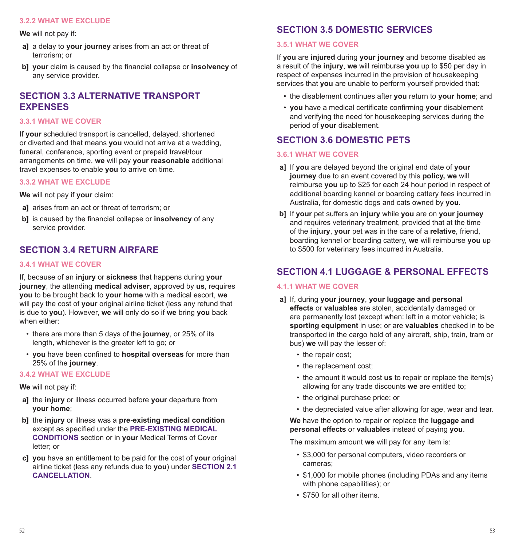#### **3.2.2 WHAT WE EXCLUDE**

**We** will not pay if:

- **a]** a delay to **your journey** arises from an act or threat of terrorism; or
- **b] your** claim is caused by the financial collapse or **insolvency** of any service provider.

# **SECTION 3.3 ALTERNATIVE TRANSPORT EXPENSES**

#### **3.3.1 WHAT WE COVER**

If **your** scheduled transport is cancelled, delayed, shortened or diverted and that means **you** would not arrive at a wedding, funeral, conference, sporting event or prepaid travel/tour arrangements on time, **we** will pay **your reasonable** additional travel expenses to enable **you** to arrive on time.

#### **3.3.2 WHAT WE EXCLUDE**

**We** will not pay if **your** claim:

- **a]** arises from an act or threat of terrorism; or
- **b]** is caused by the financial collapse or **insolvency** of any service provider.

# **SECTION 3.4 RETURN AIRFARE**

#### **3.4.1 WHAT WE COVER**

If, because of an **injury** or **sickness** that happens during **your journey**, the attending **medical adviser**, approved by **us**, requires **you** to be brought back to **your home** with a medical escort, **we** will pay the cost of **your** original airline ticket (less any refund that is due to **you**). However, **we** will only do so if **we** bring **you** back when either:

- there are more than 5 days of the **journey**, or 25% of its length, whichever is the greater left to go; or
- **you** have been confined to **hospital overseas** for more than 25% of the **journey**.

#### **3.4.2 WHAT WE EXCLUDE**

**We** will not pay if:

- **a]** the **injury** or illness occurred before **your** departure from **your home**;
- **b]** the **injury** or illness was a **pre-existing medical condition** except as specified under the **PRE-EXISTING MEDICAL CONDITIONS** section or in **your** Medical Terms of Cover letter; or
- **c] you** have an entitlement to be paid for the cost of **your** original airline ticket (less any refunds due to **you**) under **SECTION 2.1 CANCELLATION**.

# **SECTION 3.5 DOMESTIC SERVICES**

#### **3.5.1 WHAT WE COVER**

If **you** are **injured** during **your journey** and become disabled as a result of the **injury**, **we** will reimburse **you** up to \$50 per day in respect of expenses incurred in the provision of housekeeping services that **you** are unable to perform yourself provided that:

- the disablement continues after **you** return to **your home**; and
- **you** have a medical certificate confirming **your** disablement and verifying the need for housekeeping services during the period of **your** disablement.

# **SECTION 3.6 DOMESTIC PETS**

#### **3.6.1 WHAT WE COVER**

- **a]** If **you** are delayed beyond the original end date of **your journey** due to an event covered by this **policy, we** will reimburse **you** up to \$25 for each 24 hour period in respect of additional boarding kennel or boarding cattery fees incurred in Australia, for domestic dogs and cats owned by **you**.
- **b]** If **your** pet suffers an **injury** while **you** are on **your journey** and requires veterinary treatment, provided that at the time of the **injury**, **your** pet was in the care of a **relative**, friend, boarding kennel or boarding cattery, **we** will reimburse **you** up to \$500 for veterinary fees incurred in Australia.

# **SECTION 4.1 LUGGAGE & PERSONAL EFFECTS**

#### **4.1.1 WHAT WE COVER**

- **a]** If, during **your journey**, **your luggage and personal effects** or **valuables** are stolen, accidentally damaged or are permanently lost (except when: left in a motor vehicle; is **sporting equipment** in use; or are **valuables** checked in to be transported in the cargo hold of any aircraft, ship, train, tram or bus) **we** will pay the lesser of:
	- the repair cost:
	- the replacement cost;
	- the amount it would cost **us** to repair or replace the item(s) allowing for any trade discounts **we** are entitled to;
	- the original purchase price; or
	- the depreciated value after allowing for age, wear and tear.

**We** have the option to repair or replace the **luggage and personal effects** or **valuables** instead of paying **you**.

The maximum amount **we** will pay for any item is:

- \$3,000 for personal computers, video recorders or cameras;
- \$1,000 for mobile phones (including PDAs and any items with phone capabilities); or
- \$750 for all other items.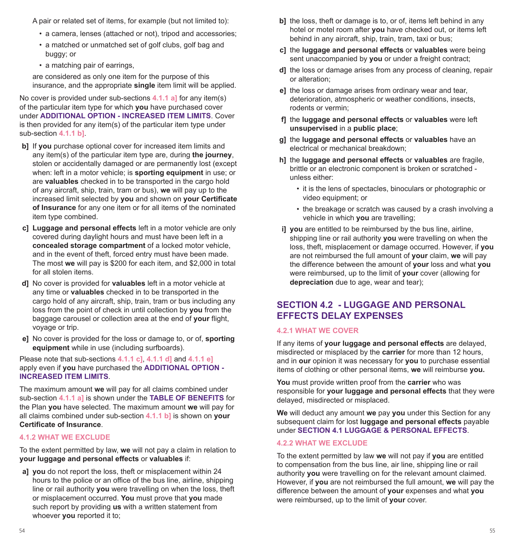A pair or related set of items, for example (but not limited to):

- a camera, lenses (attached or not), tripod and accessories;
- a matched or unmatched set of golf clubs, golf bag and buggy; or
- a matching pair of earrings,

are considered as only one item for the purpose of this insurance, and the appropriate **single** item limit will be applied.

No cover is provided under sub-sections **4.1.1 a]** for any item(s) of the particular item type for which **you** have purchased cover under **ADDITIONAL OPTION - INCREASED ITEM LIMITS**. Cover is then provided for any item(s) of the particular item type under sub-section **4.1.1 b]**.

- **b]** If **you** purchase optional cover for increased item limits and any item(s) of the particular item type are, during **the journey**, stolen or accidentally damaged or are permanently lost (except when: left in a motor vehicle; is **sporting equipment** in use; or are **valuables** checked in to be transported in the cargo hold of any aircraft, ship, train, tram or bus), **we** will pay up to the increased limit selected by **you** and shown on **your Certificate of Insurance** for any one item or for all items of the nominated item type combined.
- **c] Luggage and personal effects** left in a motor vehicle are only covered during daylight hours and must have been left in a **concealed storage compartment** of a locked motor vehicle, and in the event of theft, forced entry must have been made. The most **we** will pay is \$200 for each item, and \$2,000 in total for all stolen items.
- **d]** No cover is provided for **valuables** left in a motor vehicle at any time or **valuables** checked in to be transported in the cargo hold of any aircraft, ship, train, tram or bus including any loss from the point of check in until collection by **you** from the baggage carousel or collection area at the end of **your** flight, voyage or trip.
- **e]** No cover is provided for the loss or damage to, or of, **sporting equipment** while in use (including surfboards).

Please note that sub-sections **4.1.1 c]**, **4.1.1 d]** and **4.1.1 e]** apply even if **you** have purchased the **ADDITIONAL OPTION - INCREASED ITEM LIMITS**.

The maximum amount **we** will pay for all claims combined under sub-section **4.1.1 a]** is shown under the **TABLE OF BENEFITS** for the Plan **you** have selected. The maximum amount **we** will pay for all claims combined under sub-section **4.1.1 b]** is shown on **your Certificate of Insurance**.

#### **4.1.2 WHAT WE EXCLUDE**

To the extent permitted by law, **we** will not pay a claim in relation to **your luggage and personal effects** or **valuables** if:

**a] you** do not report the loss, theft or misplacement within 24 hours to the police or an office of the bus line, airline, shipping line or rail authority **you** were travelling on when the loss, theft or misplacement occurred. **You** must prove that **you** made such report by providing **us** with a written statement from whoever **you** reported it to;

- **b**] the loss, theft or damage is to, or of, items left behind in any hotel or motel room after **you** have checked out, or items left behind in any aircraft, ship, train, tram, taxi or bus;
- **c]** the **luggage and personal effects** or **valuables** were being sent unaccompanied by **you** or under a freight contract;
- **d]** the loss or damage arises from any process of cleaning, repair or alteration;
- **e]** the loss or damage arises from ordinary wear and tear, deterioration, atmospheric or weather conditions, insects, rodents or vermin;
- **f]** the **luggage and personal effects** or **valuables** were left **unsupervised** in a **public place**;
- **g]** the **luggage and personal effects** or **valuables** have an electrical or mechanical breakdown;
- **h]** the **luggage and personal effects** or **valuables** are fragile, brittle or an electronic component is broken or scratched unless either:
	- it is the lens of spectacles, binoculars or photographic or video equipment; or
	- the breakage or scratch was caused by a crash involving a vehicle in which **you** are travelling;
- **i] you** are entitled to be reimbursed by the bus line, airline, shipping line or rail authority **you** were travelling on when the loss, theft, misplacement or damage occurred. However, if **you** are not reimbursed the full amount of **your** claim, **we** will pay the difference between the amount of **your** loss and what **you** were reimbursed, up to the limit of **your** cover (allowing for **depreciation** due to age, wear and tear);

# **SECTION 4.2 - LUGGAGE AND PERSONAL EFFECTS DELAY EXPENSES**

#### **4.2.1 WHAT WE COVER**

If any items of **your luggage and personal effects** are delayed, misdirected or misplaced by the **carrier** for more than 12 hours, and in **our** opinion it was necessary for **you** to purchase essential items of clothing or other personal items, **we** will reimburse **you.**

**You** must provide written proof from the **carrier** who was responsible for **your luggage and personal effects** that they were delayed, misdirected or misplaced.

**We** will deduct any amount **we** pay **you** under this Section for any subsequent claim for lost **luggage and personal effects** payable under **SECTION 4.1 LUGGAGE & PERSONAL EFFECTS**.

#### **4.2.2 WHAT WE EXCLUDE**

To the extent permitted by law **we** will not pay if **you** are entitled to compensation from the bus line, air line, shipping line or rail authority **you** were travelling on for the relevant amount claimed. However, if **you** are not reimbursed the full amount, **we** will pay the difference between the amount of **your** expenses and what **you** were reimbursed, up to the limit of **your** cover.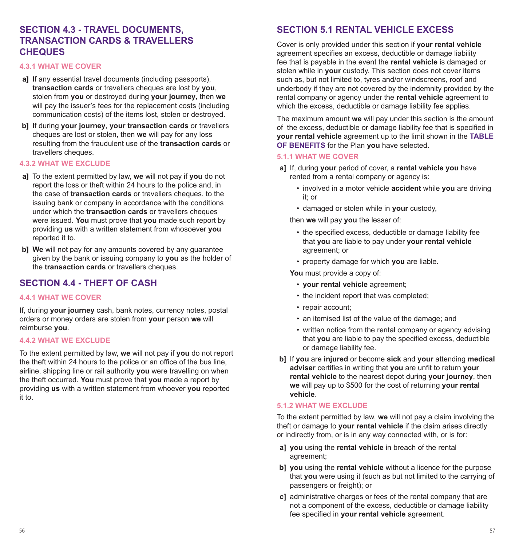# **SECTION 4.3 - TRAVEL DOCUMENTS, TRANSACTION CARDS & TRAVELLERS CHEQUES**

#### **4.3.1 WHAT WE COVER**

- **a]** If any essential travel documents (including passports), **transaction cards** or travellers cheques are lost by **you**, stolen from **you** or destroyed during **your journey**, then **we** will pay the issuer's fees for the replacement costs (including communication costs) of the items lost, stolen or destroyed.
- **b]** If during **your journey**, **your transaction cards** or travellers cheques are lost or stolen, then **we** will pay for any loss resulting from the fraudulent use of the **transaction cards** or travellers cheques.

#### **4.3.2 WHAT WE EXCLUDE**

- **a]** To the extent permitted by law, **we** will not pay if **you** do not report the loss or theft within 24 hours to the police and, in the case of **transaction cards** or travellers cheques, to the issuing bank or company in accordance with the conditions under which the **transaction cards** or travellers cheques were issued. **You** must prove that **you** made such report by providing **us** with a written statement from whosoever **you** reported it to.
- **b] We** will not pay for any amounts covered by any guarantee given by the bank or issuing company to **you** as the holder of the **transaction cards** or travellers cheques.

# **SECTION 4.4 - THEFT OF CASH**

#### **4.4.1 WHAT WE COVER**

If, during **your journey** cash, bank notes, currency notes, postal orders or money orders are stolen from **your** person **we** will reimburse **you**.

#### **4.4.2 WHAT WE EXCLUDE**

To the extent permitted by law, **we** will not pay if **you** do not report the theft within 24 hours to the police or an office of the bus line, airline, shipping line or rail authority **you** were travelling on when the theft occurred. **You** must prove that **you** made a report by providing **us** with a written statement from whoever **you** reported it to.

# **SECTION 5.1 RENTAL VEHICLE EXCESS**

Cover is only provided under this section if **your rental vehicle** agreement specifies an excess, deductible or damage liability fee that is payable in the event the **rental vehicle** is damaged or stolen while in **your** custody. This section does not cover items such as, but not limited to, tyres and/or windscreens, roof and underbody if they are not covered by the indemnity provided by the rental company or agency under the **rental vehicle** agreement to which the excess, deductible or damage liability fee applies.

The maximum amount **we** will pay under this section is the amount of the excess, deductible or damage liability fee that is specified in **your rental vehicle** agreement up to the limit shown in the **TABLE OF BENEFITS** for the Plan **you** have selected.

#### **5.1.1 WHAT WE COVER**

- **a]** If, during **your** period of cover, a **rental vehicle you** have rented from a rental company or agency is:
	- involved in a motor vehicle **accident** while **you** are driving it; or
	- damaged or stolen while in **your** custody,

then **we** will pay **you** the lesser of:

- the specified excess, deductible or damage liability fee that **you** are liable to pay under **your rental vehicle** agreement; or
- property damage for which **you** are liable.

**You** must provide a copy of:

- **your rental vehicle** agreement;
- the incident report that was completed;
- repair account;
- an itemised list of the value of the damage; and
- written notice from the rental company or agency advising that **you** are liable to pay the specified excess, deductible or damage liability fee.
- **b]** If **you** are **injured** or become **sick** and **your** attending **medical adviser** certifies in writing that **you** are unfit to return **your rental vehicle** to the nearest depot during **your journey**, then **we** will pay up to \$500 for the cost of returning **your rental vehicle**.

#### **5.1.2 WHAT WE EXCLUDE**

To the extent permitted by law, **we** will not pay a claim involving the theft or damage to **your rental vehicle** if the claim arises directly or indirectly from, or is in any way connected with, or is for:

- **a] you** using the **rental vehicle** in breach of the rental agreement;
- **b] you** using the **rental vehicle** without a licence for the purpose that **you** were using it (such as but not limited to the carrying of passengers or freight); or
- **c]** administrative charges or fees of the rental company that are not a component of the excess, deductible or damage liability fee specified in **your rental vehicle** agreement.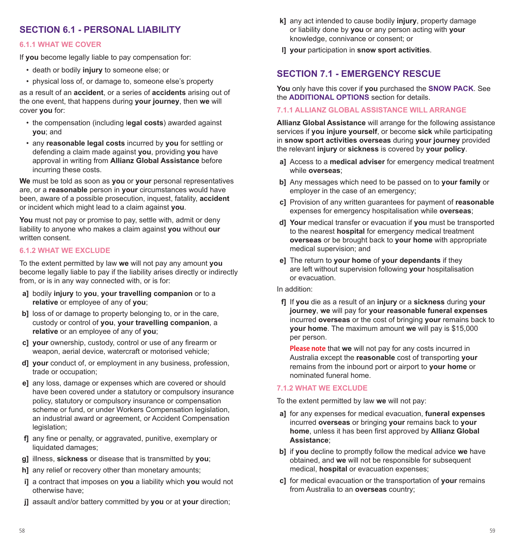# **SECTION 6.1 - PERSONAL LIABILITY**

#### **6.1.1 WHAT WE COVER**

If **you** become legally liable to pay compensation for:

- death or bodily **injury** to someone else; or
- physical loss of, or damage to, someone else's property

as a result of an **accident**, or a series of **accidents** arising out of the one event, that happens during **your journey**, then **we** will cover **you** for:

- the compensation (including l**egal costs**) awarded against **you**; and
- any **reasonable legal costs** incurred by **you** for settling or defending a claim made against **you**, providing **you** have approval in writing from **Allianz Global Assistance** before incurring these costs.

**We** must be told as soon as **you** or **your** personal representatives are, or a **reasonable** person in **your** circumstances would have been, aware of a possible prosecution, inquest, fatality, **accident** or incident which might lead to a claim against **you**.

**You** must not pay or promise to pay, settle with, admit or deny liability to anyone who makes a claim against **you** without **our** written consent.

#### **6.1.2 WHAT WE EXCLUDE**

To the extent permitted by law **we** will not pay any amount **you** become legally liable to pay if the liability arises directly or indirectly from, or is in any way connected with, or is for:

- **a]** bodily **injury** to **you**, **your travelling companion** or to a **relative** or employee of any of **you**;
- **b**] loss of or damage to property belonging to, or in the care, custody or control of **you**, **your travelling companion**, a **relative** or an employee of any of **you**;
- **c] your** ownership, custody, control or use of any firearm or weapon, aerial device, watercraft or motorised vehicle;
- **d] your** conduct of, or employment in any business, profession, trade or occupation;
- **e]** any loss, damage or expenses which are covered or should have been covered under a statutory or compulsory insurance policy, statutory or compulsory insurance or compensation scheme or fund, or under Workers Compensation legislation, an industrial award or agreement, or Accident Compensation legislation;
- **f]** any fine or penalty, or aggravated, punitive, exemplary or liquidated damages:
- **g]** illness, **sickness** or disease that is transmitted by **you**;
- **hl** any relief or recovery other than monetary amounts:
- **i]** a contract that imposes on **you** a liability which **you** would not otherwise have;
- **j]** assault and/or battery committed by **you** or at **your** direction;
- **k]** any act intended to cause bodily **injury**, property damage or liability done by **you** or any person acting with **your** knowledge, connivance or consent; or
- **l] your** participation in **snow sport activities**.

# **SECTION 7.1 - EMERGENCY RESCUE**

**You** only have this cover if **you** purchased the **SNOW PACK**. See the **ADDITIONAL OPTIONS** section for details.

#### **7.1.1 ALLIANZ GLOBAL ASSISTANCE WILL ARRANGE**

**Allianz Global Assistance** will arrange for the following assistance services if **you injure yourself**, or become **sick** while participating in **snow sport activities overseas** during **your journey** provided the relevant **injury** or **sickness** is covered by **your policy**.

- **a]** Access to a **medical adviser** for emergency medical treatment while **overseas**;
- **b]** Any messages which need to be passed on to **your family** or employer in the case of an emergency;
- **c]** Provision of any written guarantees for payment of **reasonable** expenses for emergency hospitalisation while **overseas**;
- **d] Your** medical transfer or evacuation if **you** must be transported to the nearest **hospital** for emergency medical treatment **overseas** or be brought back to **your home** with appropriate medical supervision; and
- **e]** The return to **your home** of **your dependants** if they are left without supervision following **your** hospitalisation or evacuation.

#### In addition:

**f]** If **you** die as a result of an **injury** or a **sickness** during **your journey**, **we** will pay for **your reasonable funeral expenses** incurred **overseas** or the cost of bringing **your** remains back to **your home**. The maximum amount **we** will pay is \$15,000 per person.

**Please note** that **we** will not pay for any costs incurred in Australia except the **reasonable** cost of transporting **your** remains from the inbound port or airport to **your home** or nominated funeral home.

#### **7.1.2 WHAT WE EXCLUDE**

To the extent permitted by law **we** will not pay:

- **a]** for any expenses for medical evacuation, **funeral expenses** incurred **overseas** or bringing **your** remains back to **your home**, unless it has been first approved by **Allianz Global Assistance**;
- **b]** if **you** decline to promptly follow the medical advice **we** have obtained, and **we** will not be responsible for subsequent medical, **hospital** or evacuation expenses;
- **c]** for medical evacuation or the transportation of **your** remains from Australia to an **overseas** country;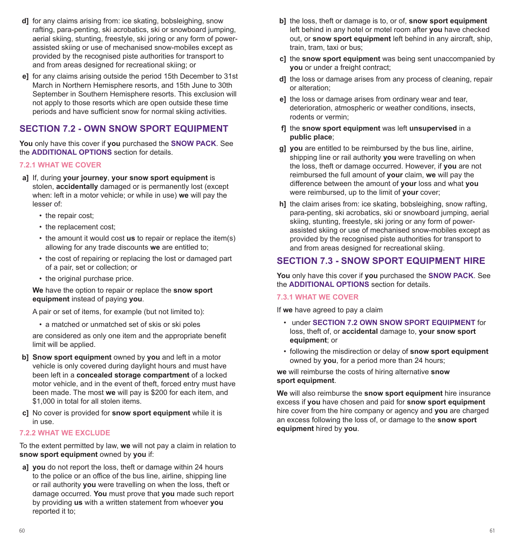- **d]** for any claims arising from: ice skating, bobsleighing, snow rafting, para-penting, ski acrobatics, ski or snowboard jumping, aerial skiing, stunting, freestyle, ski joring or any form of powerassisted skiing or use of mechanised snow-mobiles except as provided by the recognised piste authorities for transport to and from areas designed for recreational skiing; or
- **e]** for any claims arising outside the period 15th December to 31st March in Northern Hemisphere resorts, and 15th June to 30th September in Southern Hemisphere resorts. This exclusion will not apply to those resorts which are open outside these time periods and have sufficient snow for normal skiing activities.

# **SECTION 7.2 - OWN SNOW SPORT EQUIPMENT**

**You** only have this cover if **you** purchased the **SNOW PACK**. See the **ADDITIONAL OPTIONS** section for details.

#### **7.2.1 WHAT WE COVER**

- **a]** If, during **your journey**, **your snow sport equipment** is stolen, **accidentally** damaged or is permanently lost (except when: left in a motor vehicle; or while in use) **we** will pay the lesser of:
	- the repair cost;
	- the replacement cost;
	- the amount it would cost **us** to repair or replace the item(s) allowing for any trade discounts **we** are entitled to;
	- the cost of repairing or replacing the lost or damaged part of a pair, set or collection; or
	- the original purchase price.

**We** have the option to repair or replace the **snow sport equipment** instead of paying **you**.

A pair or set of items, for example (but not limited to):

• a matched or unmatched set of skis or ski poles

are considered as only one item and the appropriate benefit limit will be applied.

- **b] Snow sport equipment** owned by **you** and left in a motor vehicle is only covered during daylight hours and must have been left in a **concealed storage compartment** of a locked motor vehicle, and in the event of theft, forced entry must have been made. The most **we** will pay is \$200 for each item, and \$1,000 in total for all stolen items.
- **c]** No cover is provided for **snow sport equipment** while it is in use.

#### **7.2.2 WHAT WE EXCLUDE**

To the extent permitted by law, **we** will not pay a claim in relation to **snow sport equipment** owned by **you** if:

**a] you** do not report the loss, theft or damage within 24 hours to the police or an office of the bus line, airline, shipping line or rail authority **you** were travelling on when the loss, theft or damage occurred. **You** must prove that **you** made such report by providing **us** with a written statement from whoever **you** reported it to;

- **b]** the loss, theft or damage is to, or of, **snow sport equipment** left behind in any hotel or motel room after **you** have checked out, or **snow sport equipment** left behind in any aircraft, ship, train, tram, taxi or bus;
- **c]** the **snow sport equipment** was being sent unaccompanied by **you** or under a freight contract;
- **d]** the loss or damage arises from any process of cleaning, repair or alteration;
- **e]** the loss or damage arises from ordinary wear and tear, deterioration, atmospheric or weather conditions, insects, rodents or vermin;
- **f]** the **snow sport equipment** was left **unsupervised** in a **public place**;
- **g] you** are entitled to be reimbursed by the bus line, airline, shipping line or rail authority **you** were travelling on when the loss, theft or damage occurred. However, if **you** are not reimbursed the full amount of **your** claim, **we** will pay the difference between the amount of **your** loss and what **you** were reimbursed, up to the limit of **your** cover;
- **h]** the claim arises from: ice skating, bobsleighing, snow rafting, para-penting, ski acrobatics, ski or snowboard jumping, aerial skiing, stunting, freestyle, ski joring or any form of powerassisted skiing or use of mechanised snow-mobiles except as provided by the recognised piste authorities for transport to and from areas designed for recreational skiing.

# **SECTION 7.3 - SNOW SPORT EQUIPMENT HIRE**

**You** only have this cover if **you** purchased the **SNOW PACK**. See the **ADDITIONAL OPTIONS** section for details.

#### **7.3.1 WHAT WE COVER**

If **we** have agreed to pay a claim

- under **SECTION 7.2 OWN SNOW SPORT EQUIPMENT** for loss, theft of, or **accidental** damage to, **your snow sport equipment**; or
- following the misdirection or delay of **snow sport equipment** owned by **you**, for a period more than 24 hours;

**we** will reimburse the costs of hiring alternative **snow sport equipment**.

**We** will also reimburse the **snow sport equipment** hire insurance excess if **you** have chosen and paid for **snow sport equipment**  hire cover from the hire company or agency and **you** are charged an excess following the loss of, or damage to the **snow sport equipment** hired by **you**.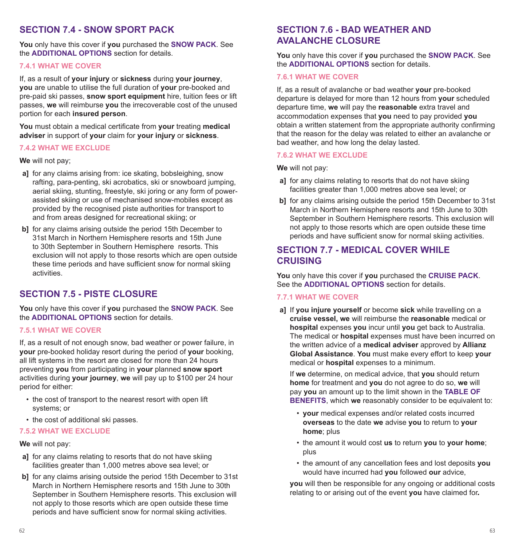# **SECTION 7.4 - SNOW SPORT PACK**

**You** only have this cover if **you** purchased the **SNOW PACK**. See the **ADDITIONAL OPTIONS** section for details.

#### **7.4.1 WHAT WE COVER**

If, as a result of **your injury** or **sickness** during **your journey**, **you** are unable to utilise the full duration of **your** pre-booked and pre-paid ski passes, **snow sport equipment** hire, tuition fees or lift passes, **we** will reimburse **you** the irrecoverable cost of the unused portion for each **insured person**.

**You** must obtain a medical certificate from **your** treating **medical adviser** in support of **your** claim for **your injury** or **sickness**.

#### **7.4.2 WHAT WE EXCLUDE**

**We** will not pay;

- **a]** for any claims arising from: ice skating, bobsleighing, snow rafting, para-penting, ski acrobatics, ski or snowboard jumping, aerial skiing, stunting, freestyle, ski joring or any form of powerassisted skiing or use of mechanised snow-mobiles except as provided by the recognised piste authorities for transport to and from areas designed for recreational skiing; or
- **b]** for any claims arising outside the period 15th December to 31st March in Northern Hemisphere resorts and 15th June to 30th September in Southern Hemisphere resorts. This exclusion will not apply to those resorts which are open outside these time periods and have sufficient snow for normal skiing activities.

# **SECTION 7.5 - PISTE CLOSURE**

**You** only have this cover if **you** purchased the **SNOW PACK**. See the **ADDITIONAL OPTIONS** section for details.

#### **7.5.1 WHAT WE COVER**

If, as a result of not enough snow, bad weather or power failure, in **your** pre-booked holiday resort during the period of **your** booking, all lift systems in the resort are closed for more than 24 hours preventing **you** from participating in **your** planned **snow sport**  activities during **your journey**, **we** will pay up to \$100 per 24 hour period for either:

- the cost of transport to the nearest resort with open lift systems; or
- the cost of additional ski passes.

#### **7.5.2 WHAT WE EXCLUDE**

#### **We** will not pay:

- **a]** for any claims relating to resorts that do not have skiing facilities greater than 1,000 metres above sea level; or
- **b**] for any claims arising outside the period 15th December to 31st March in Northern Hemisphere resorts and 15th June to 30th September in Southern Hemisphere resorts. This exclusion will not apply to those resorts which are open outside these time periods and have sufficient snow for normal skiing activities.

# **SECTION 7.6 - BAD WEATHER AND AVALANCHE CLOSURE**

**You** only have this cover if **you** purchased the **SNOW PACK**. See the **ADDITIONAL OPTIONS** section for details.

#### **7.6.1 WHAT WE COVER**

If, as a result of avalanche or bad weather **your** pre-booked departure is delayed for more than 12 hours from **your** scheduled departure time, **we** will pay the **reasonable** extra travel and accommodation expenses that **you** need to pay provided **you** obtain a written statement from the appropriate authority confirming that the reason for the delay was related to either an avalanche or bad weather, and how long the delay lasted.

#### **7.6.2 WHAT WE EXCLUDE**

**We** will not pay:

- **a]** for any claims relating to resorts that do not have skiing facilities greater than 1,000 metres above sea level; or
- **b]** for any claims arising outside the period 15th December to 31st March in Northern Hemisphere resorts and 15th June to 30th September in Southern Hemisphere resorts. This exclusion will not apply to those resorts which are open outside these time periods and have sufficient snow for normal skiing activities.

# **SECTION 7.7 - MEDICAL COVER WHILE CRUISING**

**You** only have this cover if **you** purchased the **CRUISE PACK**. See the **ADDITIONAL OPTIONS** section for details.

#### **7.7.1 WHAT WE COVER**

**a]** If **you injure yourself** or become **sick** while travelling on a **cruise vessel, we** will reimburse the **reasonable** medical or **hospital** expenses **you** incur until **you** get back to Australia. The medical or **hospital** expenses must have been incurred on the written advice of a **medical adviser** approved by **Allianz Global Assistance**. **You** must make every effort to keep **your** medical or **hospital** expenses to a minimum.

If **we** determine, on medical advice, that **you** should return **home** for treatment and **you** do not agree to do so, **we** will pay **you** an amount up to the limit shown in the **TABLE OF BENEFITS**, which we reasonably consider to be equivalent to:

- **your** medical expenses and/or related costs incurred **overseas** to the date **we** advise **you** to return to **your home**; plus
- the amount it would cost **us** to return **you** to **your home**; plus
- the amount of any cancellation fees and lost deposits **you** would have incurred had **you** followed **our** advice,

**you** will then be responsible for any ongoing or additional costs relating to or arising out of the event **you** have claimed for*.*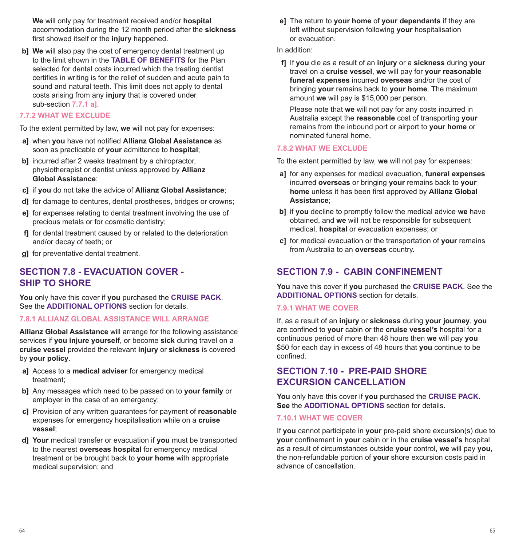**We** will only pay for treatment received and/or **hospital** accommodation during the 12 month period after the **sickness** first showed itself or the **injury** happened.

**b] We** will also pay the cost of emergency dental treatment up to the limit shown in the **TABLE OF BENEFITS** for the Plan selected for dental costs incurred which the treating dentist certifies in writing is for the relief of sudden and acute pain to sound and natural teeth. This limit does not apply to dental costs arising from any **injury** that is covered under sub-section **7.7.1 a]**.

#### **7.7.2 WHAT WE EXCLUDE**

To the extent permitted by law, **we** will not pay for expenses:

- **a]** when **you** have not notified **Allianz Global Assistance** as soon as practicable of **your** admittance to **hospital**;
- **b**] incurred after 2 weeks treatment by a chiropractor, physiotherapist or dentist unless approved by **Allianz Global Assistance**;
- **c]** if **you** do not take the advice of **Allianz Global Assistance**;
- **d]** for damage to dentures, dental prostheses, bridges or crowns;
- **e]** for expenses relating to dental treatment involving the use of precious metals or for cosmetic dentistry;
- **f]** for dental treatment caused by or related to the deterioration and/or decay of teeth; or
- **g]** for preventative dental treatment.

# **SECTION 7.8 - EVACUATION COVER - SHIP TO SHORE**

**You** only have this cover if **you** purchased the **CRUISE PACK**. See the **ADDITIONAL OPTIONS** section for details.

#### **7.8.1 ALLIANZ GLOBAL ASSISTANCE WILL ARRANGE**

**Allianz Global Assistance** will arrange for the following assistance services if **you injure yourself**, or become **sick** during travel on a **cruise vessel** provided the relevant **injury** or **sickness** is covered by **your policy**.

- **a]** Access to a **medical adviser** for emergency medical treatment;
- **b]** Any messages which need to be passed on to **your family** or employer in the case of an emergency;
- **c]** Provision of any written guarantees for payment of **reasonable**  expenses for emergency hospitalisation while on a **cruise vessel**;
- **d] Your** medical transfer or evacuation if **you** must be transported to the nearest **overseas hospital** for emergency medical treatment or be brought back to **your home** with appropriate medical supervision; and

**e]** The return to **your home** of **your dependants** if they are left without supervision following **your** hospitalisation or evacuation.

#### In addition:

**f]** If **you** die as a result of an **injury** or a **sickness** during **your** travel on a **cruise vessel**, **we** will pay for **your reasonable funeral expenses** incurred **overseas** and/or the cost of bringing **your** remains back to **your home**. The maximum amount **we** will pay is \$15,000 per person.

Please note that **we** will not pay for any costs incurred in Australia except the **reasonable** cost of transporting **your** remains from the inbound port or airport to **your home** or nominated funeral home.

#### **7.8.2 WHAT WE EXCLUDE**

To the extent permitted by law, **we** will not pay for expenses:

- **a]** for any expenses for medical evacuation, **funeral expenses** incurred **overseas** or bringing **your** remains back to **your home** unless it has been first approved by **Allianz Global Assistance**;
- **b]** if **you** decline to promptly follow the medical advice **we** have obtained, and **we** will not be responsible for subsequent medical, **hospital** or evacuation expenses; or
- **c]** for medical evacuation or the transportation of **your** remains from Australia to an **overseas** country.

# **SECTION 7.9 - CABIN CONFINEMENT**

**You** have this cover if **you** purchased the **CRUISE PACK**. See the **ADDITIONAL OPTIONS** section for details.

#### **7.9.1 WHAT WE COVER**

If, as a result of an **injury** or **sickness** during **your journey**, **you** are confined to **your** cabin or the **cruise vessel's** hospital for a continuous period of more than 48 hours then **we** will pay **you** \$50 for each day in excess of 48 hours that **you** continue to be confined.

# **SECTION 7.10 - PRE-PAID SHORE EXCURSION CANCELLATION**

**You** only have this cover if **you** purchased the **CRUISE PACK**. **See** the **ADDITIONAL OPTIONS** section for details.

#### **7.10.1 WHAT WE COVER**

If **you** cannot participate in **your** pre-paid shore excursion(s) due to **your** confinement in **your** cabin or in the **cruise vessel's** hospital as a result of circumstances outside **your** control, **we** will pay **you**, the non-refundable portion of **your** shore excursion costs paid in advance of cancellation.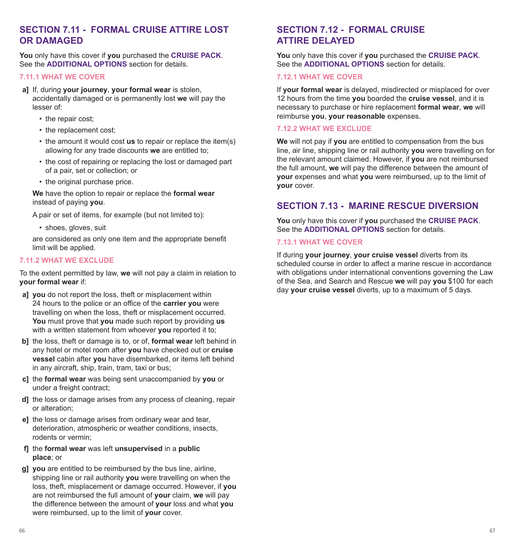# **SECTION 7.11 - FORMAL CRUISE ATTIRE LOST OR DAMAGED**

**You** only have this cover if **you** purchased the **CRUISE PACK**. See the **ADDITIONAL OPTIONS** section for details.

#### **7.11.1 WHAT WE COVER**

- **a]** If, during **your journey**, **your formal wear** is stolen, accidentally damaged or is permanently lost **we** will pay the lesser of:
	- the repair cost:
	- the replacement cost;
	- the amount it would cost **us** to repair or replace the item(s) allowing for any trade discounts **we** are entitled to;
	- the cost of repairing or replacing the lost or damaged part of a pair, set or collection; or
	- the original purchase price.

**We** have the option to repair or replace the **formal wear** instead of paying **you**.

A pair or set of items, for example (but not limited to):

• shoes, gloves, suit

are considered as only one item and the appropriate benefit limit will be applied.

#### **7.11.2 WHAT WE EXCLUDE**

To the extent permitted by law, **we** will not pay a claim in relation to **your formal wear** if:

- **a] you** do not report the loss, theft or misplacement within 24 hours to the police or an office of the **carrier you** were travelling on when the loss, theft or misplacement occurred. **You** must prove that **you** made such report by providing **us** with a written statement from whoever **you** reported it to;
- **b]** the loss, theft or damage is to, or of, **formal wear** left behind in any hotel or motel room after **you** have checked out or **cruise vessel** cabin after **you** have disembarked, or items left behind in any aircraft, ship, train, tram, taxi or bus;
- **c]** the **formal wear** was being sent unaccompanied by **you** or under a freight contract;
- **d]** the loss or damage arises from any process of cleaning, repair or alteration;
- **e]** the loss or damage arises from ordinary wear and tear, deterioration, atmospheric or weather conditions, insects, rodents or vermin;
- **f]** the **formal wear** was left **unsupervised** in a **public place**; or
- **g] you** are entitled to be reimbursed by the bus line, airline, shipping line or rail authority **you** were travelling on when the loss, theft, misplacement or damage occurred. However, if **you** are not reimbursed the full amount of **your** claim, **we** will pay the difference between the amount of **your** loss and what **you** were reimbursed, up to the limit of **your** cover.

# **SECTION 7.12 - FORMAL CRUISE ATTIRE DELAYED**

**You** only have this cover if **you** purchased the **CRUISE PACK**. See the **ADDITIONAL OPTIONS** section for details.

#### **7.12.1 WHAT WE COVER**

If **your formal wear** is delayed, misdirected or misplaced for over 12 hours from the time **you** boarded the **cruise vessel**, and it is necessary to purchase or hire replacement **formal wear**, **we** will reimburse **you**, **your reasonable** expenses.

#### **7.12.2 WHAT WE EXCLUDE**

**We** will not pay if **you** are entitled to compensation from the bus line, air line, shipping line or rail authority **you** were travelling on for the relevant amount claimed. However, if **you** are not reimbursed the full amount, **we** will pay the difference between the amount of **your** expenses and what **you** were reimbursed, up to the limit of **your** cover.

# **SECTION 7.13 - MARINE RESCUE DIVERSION**

**You** only have this cover if **you** purchased the **CRUISE PACK**. See the **ADDITIONAL OPTIONS** section for details.

#### **7.13.1 WHAT WE COVER**

If during **your journey**, **your cruise vessel** diverts from its scheduled course in order to affect a marine rescue in accordance with obligations under international conventions governing the Law of the Sea, and Search and Rescue **we** will pay **you** \$100 for each day **your cruise vessel** diverts, up to a maximum of 5 days.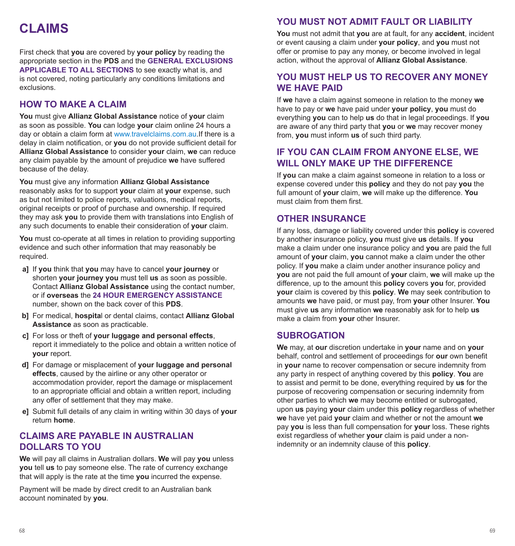# **CLAIMS**

First check that **you** are covered by **your policy** by reading the appropriate section in the **PDS** and the **GENERAL EXCLUSIONS APPLICABLE TO ALL SECTIONS** to see exactly what is, and is not covered, noting particularly any conditions limitations and exclusions.

# **HOW TO MAKE A CLAIM**

**You** must give **Allianz Global Assistance** notice of **your** claim as soon as possible. **You** can lodge **your** claim online 24 hours a day or obtain a claim form at www.travelclaims.com.au.If there is a delay in claim notification, or **you** do not provide sufficient detail for **Allianz Global Assistance** to consider **your** claim, **we** can reduce any claim payable by the amount of prejudice **we** have suffered because of the delay.

**You** must give any information **Allianz Global Assistance** reasonably asks for to support **your** claim at **your** expense, such as but not limited to police reports, valuations, medical reports, original receipts or proof of purchase and ownership. If required they may ask **you** to provide them with translations into English of any such documents to enable their consideration of **your** claim.

**You** must co-operate at all times in relation to providing supporting evidence and such other information that may reasonably be required.

- **a]** If **you** think that **you** may have to cancel **your journey** or shorten **your journey you** must tell **us** as soon as possible. Contact **Allianz Global Assistance** using the contact number, or if **overseas** the **24 HOUR EMERGENCY ASSISTANCE** number, shown on the back cover of this **PDS**.
- **b]** For medical, **hospita**l or dental claims, contact **Allianz Global Assistance** as soon as practicable.
- **c]** For loss or theft of **your luggage and personal effects**, report it immediately to the police and obtain a written notice of **your** report.
- **d]** For damage or misplacement of **your luggage and personal effects**, caused by the airline or any other operator or accommodation provider, report the damage or misplacement to an appropriate official and obtain a written report, including any offer of settlement that they may make.
- **e]** Submit full details of any claim in writing within 30 days of **your** return **home**.

# **CLAIMS ARE PAYABLE IN ALISTRALIAN DOLLARS TO YOU**

**We** will pay all claims in Australian dollars. **We** will pay **you** unless **you** tell **us** to pay someone else. The rate of currency exchange that will apply is the rate at the time **you** incurred the expense.

Payment will be made by direct credit to an Australian bank account nominated by **you**.

# **YOU MUST NOT ADMIT FAULT OR LIABILITY**

**You** must not admit that **you** are at fault, for any **accident**, incident or event causing a claim under **your policy**, and **you** must not offer or promise to pay any money, or become involved in legal action, without the approval of **Allianz Global Assistance**.

# **YOU MUST HELP US TO RECOVER ANY MONEY WE HAVE PAID**

If **we** have a claim against someone in relation to the money **we** have to pay or **we** have paid under **your policy**, **you** must do everything **you** can to help **us** do that in legal proceedings. If **you** are aware of any third party that **you** or **we** may recover money from, **you** must inform **us** of such third party.

# **IF YOU CAN CLAIM FROM ANYONE ELSE, WE WILL ONLY MAKE UP THE DIFFERENCE**

If **you** can make a claim against someone in relation to a loss or expense covered under this **policy** and they do not pay **you** the full amount of **your** claim, **we** will make up the difference. **You** must claim from them first.

# **OTHER INSURANCE**

If any loss, damage or liability covered under this **policy** is covered by another insurance policy, **you** must give **us** details. If **you** make a claim under one insurance policy and **you** are paid the full amount of **your** claim, **you** cannot make a claim under the other policy. If **you** make a claim under another insurance policy and **you** are not paid the full amount of **your** claim, **we** will make up the difference, up to the amount this **policy** covers **you** for, provided **your** claim is covered by this **policy**. **We** may seek contribution to amounts **we** have paid, or must pay, from **your** other Insurer. **You** must give **us** any information **we** reasonably ask for to help **us** make a claim from **your** other Insurer.

# **SUBROGATION**

**We** may, at **our** discretion undertake in **your** name and on **your** behalf, control and settlement of proceedings for **our** own benefit in **your** name to recover compensation or secure indemnity from any party in respect of anything covered by this **policy**. **You** are to assist and permit to be done, everything required by **us** for the purpose of recovering compensation or securing indemnity from other parties to which **we** may become entitled or subrogated, upon **us** paying **your** claim under this **policy** regardless of whether **we** have yet paid **your** claim and whether or not the amount **we** pay **you** is less than full compensation for **your** loss. These rights exist regardless of whether **your** claim is paid under a nonindemnity or an indemnity clause of this **policy**.